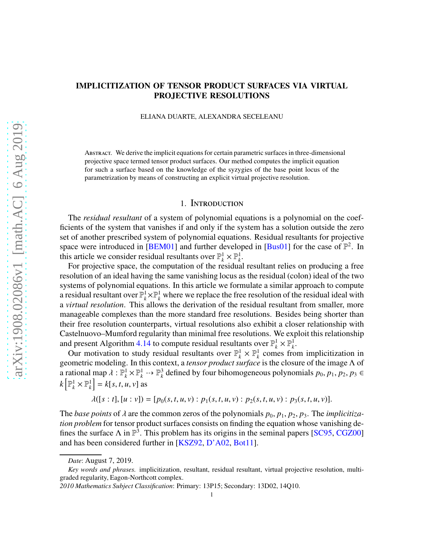# arXiv:1908.02086v1 [math.AC] 6 Aug 2019 [arXiv:1908.02086v1 \[math.AC\] 6 Aug 2019](http://arxiv.org/abs/1908.02086v1)

# IMPLICITIZATION OF TENSOR PRODUCT SURFACES VIA VIRTUAL PROJECTIVE RESOLUTIONS

ELIANA DUARTE, ALEXANDRA SECELEANU

Abstract. We derive the implicit equations for certain parametric surfaces in three-dimensional projective space termed tensor product surfaces. Our method computes the implicit equation for such a surface based on the knowledge of the syzygies of the base point locus of the parametrization by means of constructing an explicit virtual projective resolution.

# 1. Introduction

The *residual resultant* of a system of polynomial equations is a polynomial on the coefficients of the system that vanishes if and only if the system has a solution outside the zero set of another prescribed system of polynomial equations. Residual resultants for projective space were introduced in [\[BEM01\]](#page-28-0) and further developed in [\[Bus01\]](#page-28-1) for the case of  $\mathbb{P}^2$ . In this article we consider residual resultants over  $\mathbb{P}_k^1 \times \mathbb{P}_k^1$ .

For projective space, the computation of the residual resultant relies on producing a free resolution of an ideal having the same vanishing locus as the residual (colon) ideal of the two systems of polynomial equations. In this article we formulate a similar approach to compute a residual resultant over  $\mathbb{P}_k^1 \times \mathbb{P}_k^1$  where we replace the free resolution of the residual ideal with a *virtual resolution*. This allows the derivation of the residual resultant from smaller, more manageable complexes than the more standard free resolutions. Besides being shorter than their free resolution counterparts, virtual resolutions also exhibit a closer relationship with Castelnuovo–Mumford regularity than minimal free resolutions. We exploit this relationship and present Algorithm [4.14](#page-19-0) to compute residual resultants over  $\mathbb{P}_k^1 \times \mathbb{P}_k^1$ .

Our motivation to study residual resultants over  $\mathbb{P}_k^1 \times \mathbb{P}_k^1$  comes from implicitization in geometric modeling. In this context, a *tensor product surface* is the closure of the image Λ of a rational map  $\lambda : \mathbb{P}_k^1 \times \mathbb{P}_k^1 \dashrightarrow \mathbb{P}_k^3$ <sup>3</sup>/<sub>*k*</sub> defined by four bihomogeneous polynomials *p*<sub>0</sub>, *p*<sub>1</sub>, *p*<sub>2</sub>, *p*<sub>3</sub> ∈  $k\left[\mathbb{P}^1_k\times\mathbb{P}^1_k\right]$  $\begin{bmatrix} 1 \\ k \end{bmatrix} = k[s, t, u, v]$  as

$$
\lambda([s:t],[u:v])=[p_0(s,t,u,v):p_1(s,t,u,v):p_2(s,t,u,v):p_3(s,t,u,v)].
$$

The *base points* of  $\lambda$  are the common zeros of the polynomials  $p_0, p_1, p_2, p_3$ . The *implicitization problem* for tensor product surfaces consists on finding the equation whose vanishing defines the surface  $\Lambda$  in  $\mathbb{P}^3$ . This problem has its origins in the seminal papers [\[SC95,](#page-29-0) [CGZ00\]](#page-29-1) and has been considered further in [\[KSZ92,](#page-29-2) [D'A02,](#page-29-3) [Bot11\]](#page-28-2).

*Date*: August 7, 2019.

*Key words and phrases.* implicitization, resultant, residual resultant, virtual projective resolution, multigraded regularity, Eagon-Northcott complex.

*<sup>2010</sup> Mathematics Subject Classification*: Primary: 13P15; Secondary: 13D02, 14Q10.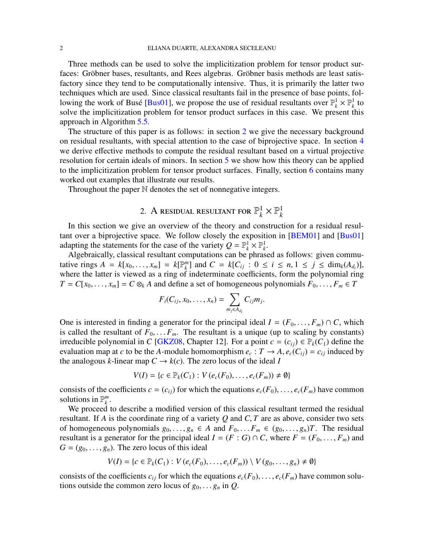Three methods can be used to solve the implicitization problem for tensor product surfaces: Gröbner bases, resultants, and Rees algebras. Gröbner basis methods are least satisfactory since they tend to be computationally intensive. Thus, it is primarily the latter two techniques which are used. Since classical resultants fail in the presence of base points, fol-lowing the work of Busé [\[Bus01\]](#page-28-1), we propose the use of residual resultants over  $\mathbb{P}_k^1 \times \mathbb{P}_k^1$  to solve the implicitization problem for tensor product surfaces in this case. We present this approach in Algorithm [5.5.](#page-22-0)

The structure of this paper is as follows: in section [2](#page-1-0) we give the necessary background on residual resultants, with special attention to the case of biprojective space. In section [4](#page-12-0) we derive effective methods to compute the residual resultant based on a virtual projective resolution for certain ideals of minors. In section [5](#page-20-0) we show how this theory can be applied to the implicitization problem for tensor product surfaces. Finally, section [6](#page-23-0) contains many worked out examples that illustrate our results.

<span id="page-1-0"></span>Throughout the paper N denotes the set of nonnegative integers.

### 2. A residual resultant for  $\mathbb{P}_k^1$  $\frac{1}{k} \times \mathbb{P}_k^1$ *k*

In this section we give an overview of the theory and construction for a residual resul-tant over a biprojective space. We follow closely the exposition in [\[BEM01\]](#page-28-0) and [\[Bus01\]](#page-28-1) adapting the statements for the case of the variety  $Q = \mathbb{P}_k^1 \times \mathbb{P}_k^1$ .

Algebraically, classical resultant computations can be phrased as follows: given commutative rings  $A = k[x_0, \ldots, x_m] = k[\mathbb{P}_k^m]$  $\sum_{k=1}^{m}$  and  $C = k[C_{ij} : 0 \le i \le n, 1 \le j \le \dim_k(A_{d_i})],$ where the latter is viewed as a ring of indeterminate coefficients, form the polynomial ring  $T = C[x_0, \ldots, x_m] = C \otimes_k A$  and define a set of homogeneous polynomials  $F_0, \ldots, F_m \in T$ 

$$
F_i(C_{ij},x_0,\ldots,x_n)=\sum_{m_j\in A_{d_i}}C_{ij}m_j.
$$

One is interested in finding a generator for the principal ideal  $I = (F_0, \ldots, F_m) \cap C$ , which is called the resultant of  $F_0, \ldots, F_m$ . The resultant is a unique (up to scaling by constants) irreducible polynomial in *C* [\[GKZ08,](#page-29-4) Chapter 12]. For a point  $c = (c_{ij}) \in \mathbb{P}_k(C_1)$  define the evaluation map at *c* to be the *A*-module homomorphism  $e_c: T \to A$ ,  $e_c(C_{ij}) = c_{ij}$  induced by the analogous *k*-linear map  $C \rightarrow k(c)$ . The zero locus of the ideal *I* 

$$
V(I) = \{c \in \mathbb{P}_k(C_1) : V(e_c(F_0), \ldots, e_c(F_m)) \neq \emptyset\}
$$

consists of the coefficients  $c = (c_{ij})$  for which the equations  $e_c(F_0), \ldots, e_c(F_m)$  have common solutions in  $\mathbb{P}^m_k$ *k* .

We proceed to describe a modified version of this classical resultant termed the residual resultant. If *A* is the coordinate ring of a variety *Q* and *C*, *T* are as above, consider two sets of homogeneous polynomials  $g_0, \ldots, g_n \in A$  and  $F_0, \ldots, F_m \in (g_0, \ldots, g_n)$ . The residual resultant is a generator for the principal ideal  $I = (F : G) \cap C$ , where  $F = (F_0, \ldots, F_m)$  and  $G = (g_0, \ldots, g_n)$ . The zero locus of this ideal

$$
V(I) = \{c \in \mathbb{P}_k(C_1) : V(e_c(F_0), \ldots, e_c(F_m)) \setminus V(g_0, \ldots, g_n) \neq \emptyset\}
$$

consists of the coefficients  $c_{ij}$  for which the equations  $e_c(F_0), \ldots, e_c(F_m)$  have common solutions outside the common zero locus of  $g_0, \ldots, g_n$  in  $Q$ .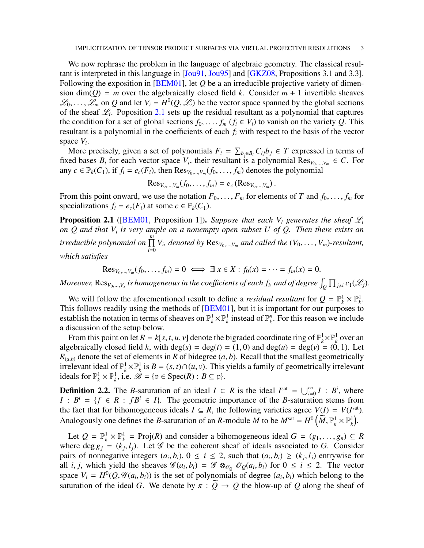We now rephrase the problem in the language of algebraic geometry. The classical resultant is interpreted in this language in [\[Jou91,](#page-29-5) [Jou95\]](#page-29-6) and [\[GKZ08,](#page-29-4) Propositions 3.1 and 3.3]. Following the exposition in [\[BEM01\]](#page-28-0), let *Q* be a an irreducible projective variety of dimension dim( $Q$ ) = *m* over the algebraically closed field *k*. Consider  $m + 1$  invertible sheaves  $\mathcal{L}_0, \ldots, \mathcal{L}_m$  on Q and let  $V_i = H^0(Q, \mathcal{L}_i)$  be the vector space spanned by the global sections of the sheaf  $\mathcal{L}_i$ . Poposition [2.1](#page-2-0) sets up the residual resultant as a polynomial that captures the condition for a set of global sections  $f_0, \ldots, f_m$  ( $f_i \in V_i$ ) to vanish on the variety *Q*. This resultant is a polynomial in the coefficients of each *f<sup>i</sup>* with respect to the basis of the vector space *V<sup>i</sup>* .

More precisely, given a set of polynomials  $F_i = \sum_{b_j \in B_i} C_{ij} b_j \in T$  expressed in terms of fixed bases  $B_i$  for each vector space  $V_i$ , their resultant is a polynomial  $\text{Res}_{V_0,\dots,V_m} \in C$ . For any  $c \in \mathbb{P}_k(C_1)$ , if  $f_i = e_c(F_i)$ , then  $\text{Res}_{V_0,\dots,V_m}(f_0,\dots,f_m)$  denotes the polynomial

$$
\operatorname{Res}_{V_0,\ldots,V_m}(f_0,\ldots,f_m)=e_c\left(\operatorname{Res}_{V_0,\ldots,V_m}\right).
$$

From this point onward, we use the notation  $F_0, \ldots, F_m$  for elements of *T* and  $f_0, \ldots, f_m$  for specializations  $f_i = e_c(F_i)$  at some  $c \in \mathbb{P}_k(C_1)$ .

<span id="page-2-0"></span>**Proposition 2.1** ([\[BEM01,](#page-28-0) Proposition 1]). Suppose that each  $V_i$  generates the sheaf  $\mathcal{L}_i$ *on Q and that V<sup>i</sup> is very ample on a nonempty open subset U of Q. Then there exists an irreducible polynomial on* <sup>Q</sup>*<sup>m</sup>*  $\prod_{i=0}^{n} V_i$ , denoted by  $\text{Res}_{V_0,\dots,V_m}$  and called the  $(V_0,\dots,V_m)$ *-resultant, which satisfies*

$$
\operatorname{Res}_{V_0,\ldots,V_m}(f_0,\ldots,f_m)=0\iff \exists x\in X: f_0(x)=\cdots=f_m(x)=0.
$$

Moreover,  ${\rm Res}_{V_0,...,V_s}$  is homogeneous in the coefficients of each  $f_i$ , and of degree  $\int_Q \prod_{j\neq i} c_1(\mathscr{L}_j)$ .

We will follow the aforementioned result to define a *residual resultant* for  $Q = \mathbb{P}_k^1 \times \mathbb{P}_k^1$ . This follows readily using the methods of [\[BEM01\]](#page-28-0), but it is important for our purposes to establish the notation in terms of sheaves on  $\mathbb{P}_k^1 \times \mathbb{P}_k^1$  instead of  $\mathbb{P}_k^n$  $\binom{n}{k}$ . For this reason we include a discussion of the setup below.

From this point on let  $R = k[s, t, u, v]$  denote the bigraded coordinate ring of  $\mathbb{P}_k^1 \times \mathbb{P}_k^1$  over an algebraically closed field *k*, with  $deg(s) = deg(t) = (1, 0)$  and  $deg(u) = deg(v) = (0, 1)$ . Let  $R_{(a,b)}$  denote the set of elements in *R* of bidegree  $(a, b)$ . Recall that the smallest geometrically irrelevant ideal of  $\mathbb{P}_k^1 \times \mathbb{P}_k^1$  $\frac{h}{k}$  is *B* = (*s*, *t*)∩(*u*, *v*). This yields a family of geometrically irrelevant ideals for  $\mathbb{P}_k^1 \times \mathbb{P}_k^1$ , i.e.  $\hat{\mathscr{B}} = {\mathfrak{p} \in \text{Spec}(R) : B \subseteq \mathfrak{p}}$ .

**Definition 2.2.** The *B*-saturation of an ideal  $I \subset R$  is the ideal  $I^{\text{sat}} = \bigcup_{i=0}^{\infty} I : B^i$ , where  $I : B^i = \{f \in R : fB^i \in I\}$ . The geometric importance of the *B*-saturation stems from the fact that for bihomogeneous ideals  $I \subseteq R$ , the following varieties agree  $V(I) = V(I^{\text{sat}})$ . Analogously one defines the *B*-saturation of an *R*-module *M* to be  $M^{\text{sat}} = H^0\left(\tilde{M}, \mathbb{P}_k^1 \times \mathbb{P}_k^1\right)$ .

Let  $Q = \mathbb{P}_k^1 \times \mathbb{P}_k^1 = \text{Proj}(R)$  and consider a bihomogeneous ideal  $G = (g_1, \ldots, g_n) \subseteq R$ where deg  $g_j = (k_j, l_j)$ . Let  $\mathscr G$  be the coherent sheaf of ideals associated to *G*. Consider pairs of nonnegative integers  $(a_i, b_i)$ ,  $0 \le i \le 2$ , such that  $(a_i, b_i) \ge (k_j, l_j)$  entrywise for all *i*, *j*, which yield the sheaves  $\mathscr{G}(a_i, b_i) = \mathscr{G} \otimes_{\mathscr{O}_Q} \mathscr{O}_Q(a_i, b_i)$  for  $0 \le i \le 2$ . The vector space  $V_i = H^0(Q, \mathcal{G}(a_i, b_i))$  is the set of polynomials of degree  $(a_i, b_i)$  which belong to the saturation of the ideal *G*. We denote by  $\pi : \widetilde{Q} \to Q$  the blow-up of *Q* along the sheaf of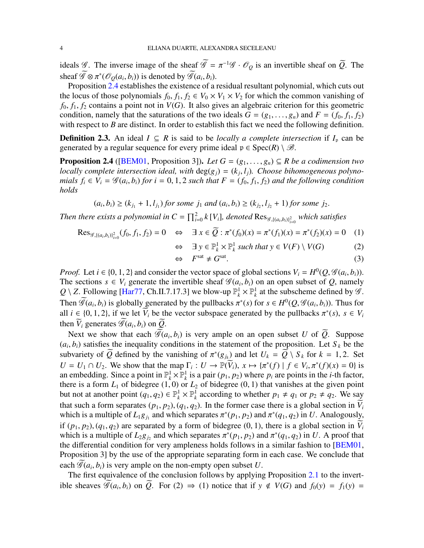ideals  $\mathscr{G}$ . The inverse image of the sheaf  $\widetilde{\mathscr{G}} = \pi^{-1} \mathscr{G} \cdot \mathscr{O}_{\mathcal{Q}}$  is an invertible sheaf on  $\widetilde{Q}$ . The sheaf  $\widetilde{\mathscr{G}} \otimes \pi^*(\mathscr{O}_Q(a_i, b_i))$  is denoted by  $\widetilde{\mathscr{G}}(a_i, b_i)$ .

Proposition [2.4](#page-3-0) establishes the existence of a residual resultant polynomial, which cuts out the locus of those polynomials  $f_0, f_1, f_2 \in V_0 \times V_1 \times V_2$  for which the common vanishing of  $f_0, f_1, f_2$  contains a point not in  $V(G)$ . It also gives an algebraic criterion for this geometric condition, namely that the saturations of the two ideals  $G = (g_1, \ldots, g_n)$  and  $F = (f_0, f_1, f_2)$ with respect to *B* are distinct. In order to establish this fact we need the following definition.

**Definition 2.3.** An ideal *I* ⊆ *R* is said to be *locally a complete intersection* if  $I_p$  can be generated by a regular sequence for every prime ideal  $p \in Spec(R) \setminus \mathcal{B}$ .

<span id="page-3-0"></span>**Proposition 2.4** ([\[BEM01,](#page-28-0) Proposition 3]). *Let*  $G = (g_1, \ldots, g_n) \subseteq R$  *be a codimension two locally complete intersection ideal, with*  $deg(g_j) = (k_j, l_j)$ *. Choose bihomogeneous polynomials*  $f_i \in V_i = \mathcal{G}(a_i, b_i)$  *for*  $i = 0, 1, 2$  *such that*  $F = (f_0, f_1, f_2)$  *and the following condition holds*

 $(a_i, b_i) \ge (k_{j_1} + 1, l_{j_1})$  *for some*  $j_1$  *and*  $(a_i, b_i) \ge (k_{j_2}, l_{j_2} + 1)$  *for some*  $j_2$ *.* 

*Then there exists a polynomial in*  $C = \prod_{i=0}^{2} k[V_i]$ *, denoted*  $\text{Res}_{\mathscr{G}, \{(a_i,b_i)\}_{i=0}^{2}}$  *which satisfies* 

⇔ ∃ *y* ∈ P

$$
\text{Res}_{\mathscr{G}, \{(a_i, b_i)\}_{i=0}^2}(f_0, f_1, f_2) = 0 \quad \Leftrightarrow \quad \exists \ x \in \mathcal{Q} : \pi^*(f_0)(x) = \pi^*(f_1)(x) = \pi^*(f_2)(x) = 0 \quad (1)
$$

$$
\exists y \in \mathbb{P}_k^1 \times \mathbb{P}_k^1 \text{ such that } y \in V(F) \setminus V(G) \tag{2}
$$

$$
\Leftrightarrow \quad F^{\text{sat}} \neq G^{\text{sat}}.\tag{3}
$$

*Proof.* Let  $i \in \{0, 1, 2\}$  and consider the vector space of global sections  $V_i = H^0(Q, \mathcal{G}(a_i, b_i))$ . The sections  $s \in V_i$  generate the invertible sheaf  $\mathcal{G}(a_i, b_i)$  on an open subset of *Q*, namely  $Q \setminus Z$ . Following [\[Har77,](#page-29-7) Ch.II.7.17.3] we blow-up  $\mathbb{P}_k^1 \times \mathbb{P}_k^1$  at the subscheme defined by  $\mathscr{G}$ . Then  $\widetilde{\mathscr{G}}(a_i, b_i)$  is globally generated by the pullbacks  $\pi^*(s)$  for  $s \in H^0(Q, \mathscr{G}(a_i, b_i))$ . Thus for all  $i \in \{0, 1, 2\}$ , if we let  $V_i$  be the vector subspace generated by the pullbacks  $\pi^*(s)$ ,  $s \in V_i$ then  $\widetilde{V}_i$  generates  $\widetilde{\mathscr{G}}(a_i, b_i)$  on  $\widetilde{Q}$ .

Next we show that each  $\widetilde{\mathcal{G}}(a_i, b_i)$  is very ample on an open subset *U* of  $\widetilde{Q}$ . Suppose  $(a_i, b_i)$  satisfies the inequality conditions in the statement of the proposition. Let  $S_k$  be the subvariety of *Q* defined by the vanishing of  $\pi^*(g_{j_k})$  and let  $U_k = Q \setminus S_k$  for  $k = 1, 2$ . Set  $U = U_1 \cap U_2$ . We show that the map  $\Gamma_i : U \to \mathbb{P}(V_i)$ ,  $x \mapsto {\pi^*(f) \mid f \in V_i, \pi^*(f)(x) = 0}$  is an embedding. Since a point in  $\mathbb{P}_k^1 \times \mathbb{P}_k^1$  is a pair  $(p_1, p_2)$  where  $p_i$  are points in the *i*-th factor, there is a form  $L_1$  of bidegree  $(1, 0)$  or  $L_2$  of bidegree  $(0, 1)$  that vanishes at the given point but not at another point  $(q_1, q_2) \in \mathbb{P}_k^1 \times \mathbb{P}_k^1$  according to whether  $p_1 \neq q_1$  or  $p_2 \neq q_2$ . We say that such a form separates  $(p_1, p_2), (q_1, q_2)$ . In the former case there is a global section in  $V_i$ which is a multiple of  $L_1g_{j_1}$  and which separates  $\pi^*(p_1, p_2)$  and  $\pi^*(q_1, q_2)$  in *U*. Analogously, if  $(p_1, p_2)$ ,  $(q_1, q_2)$  are separated by a form of bidegree  $(0, 1)$ , there is a global section in  $\tilde{V}_i$ which is a multiple of  $L_2g_{j_2}$  and which separates  $\pi^*(p_1, p_2)$  and  $\pi^*(q_1, q_2)$  in *U*. A proof that the differential condition for very ampleness holds follows in a similar fashion to [\[BEM01,](#page-28-0) Proposition 3] by the use of the appropriate separating form in each case. We conclude that each  $\widetilde{\mathscr{G}}(a_i, b_i)$  is very ample on the non-empty open subset *U*.

The first equivalence of the conclusion follows by applying Proposition [2.1](#page-2-0) to the invertible sheaves  $\widetilde{\mathcal{G}}(a_i, b_i)$  on  $\widetilde{Q}$ . For (2)  $\Rightarrow$  (1) notice that if  $y \notin V(G)$  and  $f_0(y) = f_1(y) =$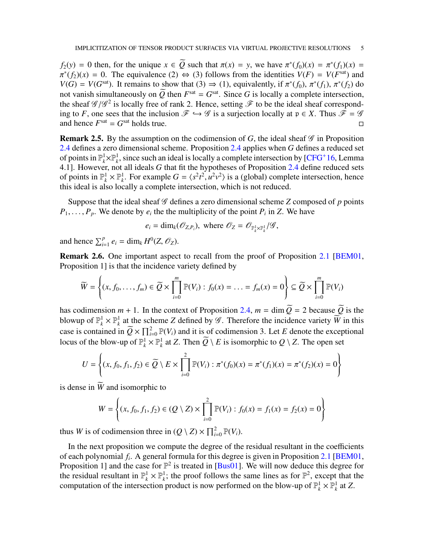$f_2(y) = 0$  then, for the unique  $x \in Q$  such that  $\pi(x) = y$ , we have  $\pi^*(f_0)(x) = \pi^*(f_1)(x) =$  $\pi^*(f_2)(x) = 0$ . The equivalence (2)  $\Leftrightarrow$  (3) follows from the identities  $V(F) = V(F^{\text{sat}})$  and  $V(G) = V(G^{\text{sat}})$ . It remains to show that (3)  $\Rightarrow$  (1), equivalently, if  $\pi^*(f_0)$ ,  $\pi^*(f_1)$ ,  $\pi^*(f_2)$  do not vanish simultaneously on  $\overline{Q}$  then  $F<sup>sat</sup> = G<sup>sat</sup>$ . Since *G* is locally a complete intersection, the sheaf  $\mathscr{G}/\mathscr{G}^2$  is locally free of rank 2. Hence, setting  $\mathscr{F}$  to be the ideal sheaf corresponding to *F*, one sees that the inclusion  $\mathcal{F} \hookrightarrow \mathcal{G}$  is a surjection locally at  $\mathfrak{p} \in X$ . Thus  $\mathcal{F} = \mathcal{G}$  and hence  $F^{\text{sat}} = G^{\text{sat}}$  holds true. and hence  $F^{\text{sat}} = G^{\text{sat}}$  holds true.

**Remark 2.5.** By the assumption on the codimension of *G*, the ideal sheaf  $\mathscr G$  in Proposition [2.4](#page-3-0) defines a zero dimensional scheme. Proposition [2.4](#page-3-0) applies when *G* defines a reduced set of points in  $\mathbb{P}_k^1 \times \mathbb{P}_k^1$ , since such an ideal is locally a complete intersection by [\[CFG](#page-29-8)+16, Lemma 4.1]. However, not all ideals *G* that fit the hypotheses of Proposition [2.4](#page-3-0) define reduced sets of points in  $\mathbb{P}_k^1 \times \mathbb{P}_k^1$ . For example  $G = \langle s^2t^2, u^2v^2 \rangle$  is a (global) complete intersection, hence this ideal is also locally a complete intersection, which is not reduced.

Suppose that the ideal sheaf  $G$  defines a zero dimensional scheme  $Z$  composed of  $p$  points  $P_1, \ldots, P_p$ . We denote by  $e_i$  the the multiplicity of the point  $P_i$  in *Z*. We have

$$
e_i = \dim_k(\mathcal{O}_{Z,P_i}),
$$
 where  $\mathcal{O}_Z = \mathcal{O}_{\mathbb{P}^1_k \times \mathbb{P}^1_k} / \mathcal{G}$ ,

and hence  $\sum_{i=1}^{p} e_i = \dim_k H^0(Z, \mathcal{O}_Z)$ .

<span id="page-4-0"></span>Remark 2.6. One important aspect to recall from the proof of Proposition [2.1](#page-2-0) [\[BEM01,](#page-28-0) Proposition 1] is that the incidence variety defined by

$$
\widetilde{W} = \left\{ (x, f_0, \dots, f_m) \in \widetilde{Q} \times \prod_{i=0}^m \mathbb{P}(V_i) : f_0(x) = \dots = f_m(x) = 0 \right\} \subseteq \widetilde{Q} \times \prod_{i=0}^m \mathbb{P}(V_i)
$$

has codimension  $m + 1$ . In the context of Proposition [2.4,](#page-3-0)  $m = \dim \tilde{Q} = 2$  because  $\tilde{Q}$  is the blowup of  $\mathbb{P}_k^1 \times \mathbb{P}_k^1$ <sup>1</sup>/<sub>k</sub> at the scheme *Z* defined by  $\mathscr G$ . Therefore the incidence variety  $\widetilde W$  in this case is contained in  $\widetilde{Q} \times \prod_{i=0}^{2} \mathbb{P}(V_i)$  and it is of codimension 3. Let *E* denote the exceptional locus of the blow-up of  $\mathbb{P}_k^1 \times \mathbb{P}_k^1$  at *Z*. Then  $\widetilde{Q} \setminus E$  is isomorphic to  $Q \setminus Z$ . The open set

$$
U = \left\{ (x, f_0, f_1, f_2) \in \widetilde{Q} \setminus E \times \prod_{i=0}^{2} \mathbb{P}(V_i) : \pi^*(f_0)(x) = \pi^*(f_1)(x) = \pi^*(f_2)(x) = 0 \right\}
$$

is dense in  $\widetilde{W}$  and isomorphic to

$$
W = \left\{ (x, f_0, f_1, f_2) \in (Q \setminus Z) \times \prod_{i=0}^{2} \mathbb{P}(V_i) : f_0(x) = f_1(x) = f_2(x) = 0 \right\}
$$

thus *W* is of codimension three in  $(Q \setminus Z) \times \prod_{i=0}^{2} \mathbb{P}(V_i)$ .

In the next proposition we compute the degree of the residual resultant in the coefficients of each polynomial *f<sup>i</sup>* . A general formula for this degree is given in Proposition [2.1](#page-2-0) [\[BEM01,](#page-28-0) Proposition 1] and the case for  $\mathbb{P}^2$  is treated in [\[Bus01\]](#page-28-1). We will now deduce this degree for the residual resultant in  $\mathbb{P}_k^1 \times \mathbb{P}_k^1$  $k<sub>k</sub>$ ; the proof follows the same lines as for  $\mathbb{P}^2$ , except that the computation of the intersection product is now performed on the blow-up of  $\mathbb{P}_k^1 \times \mathbb{P}_k^1$  at *Z*.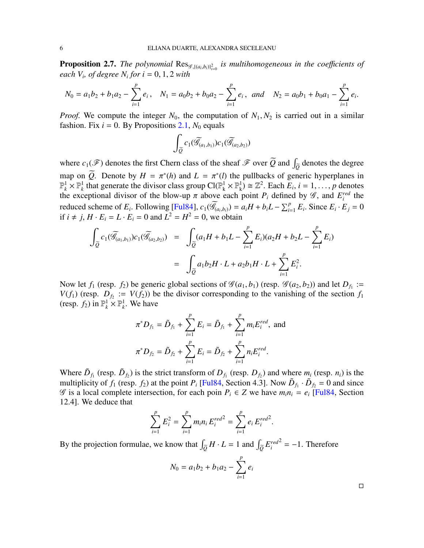<span id="page-5-0"></span>**Proposition 2.7.** The polynomial  $\text{Res}_{\mathscr{G}, \{(a_i, b_i)\}_{i=0}^2}$  is multihomogeneous in the coefficients of *each*  $V_i$ , *of degree*  $N_i$  *for*  $i = 0, 1, 2$  *with* 

$$
N_0 = a_1b_2 + b_1a_2 - \sum_{i=1}^p e_i, \quad N_1 = a_0b_2 + b_0a_2 - \sum_{i=1}^p e_i, \quad and \quad N_2 = a_0b_1 + b_0a_1 - \sum_{i=1}^p e_i.
$$

*Proof.* We compute the integer  $N_0$ , the computation of  $N_1$ ,  $N_2$  is carried out in a similar fashion. Fix  $i = 0$ . By Propositions [2.1,](#page-2-0)  $N_0$  equals

$$
\int_{\widetilde{\mathcal{Q}}} c_1(\widetilde{\mathcal{G}}_{(a_1,b_1)})c_1(\widetilde{\mathcal{G}}_{(a_2,b_2)})
$$

where  $c_1(\mathscr{F})$  denotes the first Chern class of the sheaf  $\mathscr{F}$  over  $\widetilde{Q}$  and  $\int_{\widetilde{Q}}$  denotes the degree map on *Q*. Denote by  $H = \pi^*(h)$  and  $L = \pi^*(l)$  the pullbacks of generic hyperplanes in  $\mathbb{P}_k^1 \times \mathbb{P}_k^1$  that generate the divisor class group  $Cl(\mathbb{P}_k^1)$  $\frac{1}{k} \times \mathbb{P}^1_k$  $k_i^{\{1\}} \cong \mathbb{Z}^2$ . Each  $E_i$ ,  $i = 1, \ldots, p$  denotes the exceptional divisor of the blow-up  $\pi$  above each point  $P_i$  defined by  $\mathscr{G}$ , and  $E_i^{red}$  $i$ <sup>*red*</sup> the reduced scheme of  $E_i$ . Following [\[Ful84\]](#page-29-9),  $c_1(\widetilde{\mathcal{G}}_{(a_i,b_i)}) = a_i H + b_i L - \sum_{i=1}^p E_i$ . Since  $E_i \cdot E_j = 0$ if  $i \neq j$ ,  $H \cdot E_i = L \cdot E_i = 0$  and  $L^2 = H^2 = 0$ , we obtain

$$
\int_{\widetilde{Q}} c_1(\widetilde{\mathscr{G}}_{(a_1,b_1)})c_1(\widetilde{\mathscr{G}}_{(a_2,b_2)}) = \int_{\widetilde{Q}} (a_1H + b_1L - \sum_{i=1}^p E_i)(a_2H + b_2L - \sum_{i=1}^p E_i)
$$
  

$$
= \int_{\widetilde{Q}} a_1b_2H \cdot L + a_2b_1H \cdot L + \sum_{i=1}^p E_i^2.
$$

Now let  $f_1$  (resp.  $f_2$ ) be generic global sections of  $\mathscr{G}(a_1, b_1)$  (resp.  $\mathscr{G}(a_2, b_2)$ ) and let  $D_{f_1}$ :=  $V(f_1)$  (resp.  $D_{f_2} := V(f_2)$ ) be the divisor corresponding to the vanishing of the section  $f_1$ (resp.  $f_2$ ) in  $\mathbb{P}_k^1 \times \mathbb{P}_k^1$  $k^1$ . We have

$$
\pi^* D_{f_1} = \tilde{D}_{f_1} + \sum_{i=1}^p E_i = \tilde{D}_{f_1} + \sum_{i=1}^p m_i E_i^{red}, \text{ and}
$$

$$
\pi^* D_{f_2} = \tilde{D}_{f_2} + \sum_{i=1}^p E_i = \tilde{D}_{f_2} + \sum_{i=1}^p n_i E_i^{red}.
$$

Where  $\tilde{D}_{f_1}$  (resp.  $\tilde{D}_{f_2}$ ) is the strict transform of  $D_{f_1}$  (resp.  $D_{f_2}$ ) and where  $m_i$  (resp.  $n_i$ ) is the multiplicity of  $f_1$  (resp.  $f_2$ ) at the point  $P_i$  [\[Ful84,](#page-29-9) Section 4.3]. Now  $\tilde{D}_{f_1} \cdot \tilde{D}_{f_2} = 0$  and since G is a local complete intersection, for each poin  $P_i \in Z$  we have  $m_i n_i = e_i$  [\[Ful84,](#page-29-9) Section 12.4]. We deduce that

$$
\sum_{i=1}^p E_i^2 = \sum_{i=1}^p m_i n_i E_i^{red^2} = \sum_{i=1}^p e_i E_i^{red^2}.
$$

By the projection formulae, we know that  $\int_{\tilde{Q}} H \cdot L = 1$  and  $\int_{\tilde{Q}} E_i^{red}$ *i*  $2^2 = -1$ . Therefore

$$
N_0 = a_1b_2 + b_1a_2 - \sum_{i=1}^p e_i
$$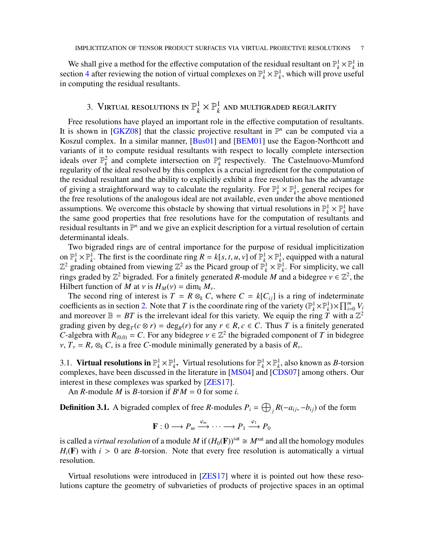We shall give a method for the effective computation of the residual resultant on  $\mathbb{P}_k^1 \times \mathbb{P}_k^1$  in section [4](#page-12-0) after reviewing the notion of virtual complexes on  $\mathbb{P}_k^1 \times \mathbb{P}_k^1$ , which will prove useful in computing the residual resultants.

### 3. Virtual resolutions in  $\mathbb{P}_k^1$  $\frac{1}{k} \times \mathbb{P}_k^1$  $\frac{1}{k}$  and multigraded regularity

Free resolutions have played an important role in the effective computation of resultants. It is shown in [\[GKZ08\]](#page-29-4) that the classic projective resultant in  $\mathbb{P}^n$  can be computed via a Koszul complex. In a similar manner, [\[Bus01\]](#page-28-1) and [\[BEM01\]](#page-28-0) use the Eagon-Northcott and variants of it to compute residual resultants with respect to locally complete intersection ideals over  $\mathbb{P}_k^2$  and complete intersection on  $\mathbb{P}_k^n$ *k* respectively. The Castelnuovo-Mumford regularity of the ideal resolved by this complex is a crucial ingredient for the computation of the residual resultant and the ability to explicitly exhibit a free resolution has the advantage of giving a straightforward way to calculate the regularity. For  $\mathbb{P}_k^1 \times \mathbb{P}_k^1$ , general recipes for the free resolutions of the analogous ideal are not available, even under the above mentioned assumptions. We overcome this obstacle by showing that virtual resolutions in  $\mathbb{P}_k^1 \times \mathbb{P}_k^1$  have the same good properties that free resolutions have for the computation of resultants and residual resultants in  $\mathbb{P}^n$  and we give an explicit description for a virtual resolution of certain determinantal ideals.

Two bigraded rings are of central importance for the purpose of residual implicitization on  $\mathbb{P}_k^1 \times \mathbb{P}_k^1$ . The first is the coordinate ring  $R = k[s, t, u, v]$  of  $\mathbb{P}_k^1 \times \mathbb{P}_k^1$ , equipped with a natural  $\mathbb{Z}^2$  grading obtained from viewing  $\mathbb{Z}^2$  as the Picard group of  $\mathbb{P}_k^1 \times \mathbb{P}_k^1$ . For simplicity, we call rings graded by  $\mathbb{Z}^2$  bigraded. For a finitely generated *R*-module *M* and a bidegree  $v \in \mathbb{Z}^2$ , the Hilbert function of *M* at *v* is  $H_M(v) = \dim_k M_v$ .

The second ring of interest is  $T = R \otimes_k C$ , where  $C = k[C_i]$  is a ring of indeterminate coefficients as in section [2.](#page-1-0) Note that *T* is the coordinate ring of the variety  $(\mathbb{P}_k^1 \times \mathbb{P}_k^1) \times \prod_{i=0}^m V_i$ and moreover  $\mathbb{B} = BT$  is the irrelevant ideal for this variety. We equip the ring *T* with a  $\mathbb{Z}^2$ grading given by  $\deg_T(c \otimes r) = \deg_R(r)$  for any  $r \in R$ ,  $c \in C$ . Thus *T* is a finitely generated *C*-algebra with  $R_{(0,0)} = C$ . For any bidegree  $v \in \mathbb{Z}^2$  the bigraded component of *T* in bidegree  $v, T_v = R_v \otimes_k C$ , is a free *C*-module minimally generated by a basis of  $R_v$ .

3.1. Virtual resolutions in  $\mathbb{P}_k^1 \times \mathbb{P}_k^1$ . Virtual resolutions for  $\mathbb{P}_k^1 \times \mathbb{P}_k^1$ , also known as *B*-torsion complexes, have been discussed in the literature in [\[MS04\]](#page-29-10) and [\[CDS07\]](#page-29-11) among others. Our interest in these complexes was sparked by [\[ZES17\]](#page-29-12).

An *R*-module *M* is *B*-torsion if  $B^iM = 0$  for some *i*.

<span id="page-6-0"></span>**Definition 3.1.** A bigraded complex of free *R*-modules  $P_i = \bigoplus_j R(-a_{ij}, -b_{ij})$  of the form

$$
\mathbf{F}: 0 \longrightarrow P_m \xrightarrow{\varphi_m} \cdots \longrightarrow P_1 \xrightarrow{\varphi_1} P_0
$$

is called a *virtual resolution* of a module M if  $(H_0(\mathbf{F}))^{\text{sat}} \cong M^{\text{sat}}$  and all the homology modules  $H_i(\mathbf{F})$  with  $i > 0$  are *B*-torsion. Note that every free resolution is automatically a virtual resolution.

Virtual resolutions were introduced in [\[ZES17\]](#page-29-12) where it is pointed out how these resolutions capture the geometry of subvarieties of products of projective spaces in an optimal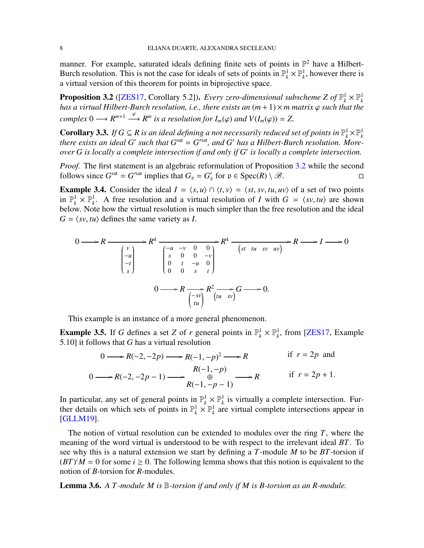manner. For example, saturated ideals defining finite sets of points in  $\mathbb{P}^2$  have a Hilbert-Burch resolution. This is not the case for ideals of sets of points in  $\mathbb{P}_k^1 \times \mathbb{P}_k^1$ , however there is a virtual version of this theorem for points in biprojective space.

<span id="page-7-0"></span>**Proposition 3.2** ([\[ZES17,](#page-29-12) Corollary 5.2]). *Every zero-dimensional subscheme Z of*  $\mathbb{P}_k^1 \times \mathbb{P}_k^1$ <br>has a virtual Hilbert-Burch resolution, i.e., there exists an  $(m + 1) \times m$  matrix  $\varphi$  such that the *complex*  $0 \longrightarrow R^{m+1} \stackrel{\varphi}{\longrightarrow} R^m$  *is a resolution for*  $I_m(\varphi)$  *and*  $V(I_m(\varphi)) = Z$ .

<span id="page-7-2"></span>**Corollary 3.3.** *If*  $G \subseteq R$  *is an ideal defining a not necessarily reduced set of points in*  $\mathbb{P}_k^1 \times \mathbb{P}_k^1$ *there exists an ideal G' such that*  $G<sup>sat</sup> = G<sup>rsat</sup>$ *, and G' has a Hilbert-Burch resolution. Moreover G is locally a complete intersection if and only if G*′ *is locally a complete intersection.*

*Proof.* The first statement is an algebraic reformulation of Proposition [3.2](#page-7-0) while the second follows since  $G^{\text{sat}} = G'^{\text{sat}}$  implies that  $G_p = G'_p$  for  $p \in \text{Spec}(R) \setminus \mathcal{B}$ .

<span id="page-7-4"></span>**Example 3.4.** Consider the ideal  $I = \langle s, u \rangle \cap \langle t, v \rangle = \langle st, sv, tu, uv \rangle$  of a set of two points in  $\mathbb{P}_k^1 \times \mathbb{P}_k^1$ . A free resolution and a virtual resolution of *I* with  $G = \langle sv, tu \rangle$  are shown below. Note how the virtual resolution is much simpler than the free resolution and the ideal  $G = \langle sv, tu \rangle$  defines the same variety as *I*.

$$
0 \longrightarrow R \longrightarrow R^{4}
$$
\n
$$
\begin{array}{c}\n\begin{pmatrix}\nv \\
-u \\
-t \\
s\n\end{pmatrix}\n\end{array}\n\qquad\n\begin{array}{c}\nR^{4} \longrightarrow 0 & 0 \\
\begin{pmatrix}\ns & 0 & 0 & -v \\
0 & t & -u & 0 \\
0 & 0 & s & t\n\end{pmatrix}\n\end{array}\n\qquad\n\begin{array}{c}\nR^{4} \longrightarrow R \longrightarrow I \longrightarrow 0 \\
\begin{pmatrix}\nst & tu & sv & uv\n\end{pmatrix}\n\end{array}
$$
\n
$$
0 \longrightarrow R \longrightarrow R^{2} \longrightarrow R^{2} \longrightarrow G \longrightarrow 0.
$$

This example is an instance of a more general phenomenon.

<span id="page-7-3"></span>**Example 3.5.** If *G* defines a set *Z* of *r* general points in  $\mathbb{P}_k^1 \times \mathbb{P}_k^1$ , from [\[ZES17,](#page-29-12) Example 5.10] it follows that *G* has a virtual resolution

$$
0 \longrightarrow R(-2, -2p) \longrightarrow R(-1, -p)^2 \longrightarrow R
$$
 if  $r = 2p$  and  
\n
$$
0 \longrightarrow R(-2, -2p - 1) \longrightarrow \begin{array}{c} R(-1, -p) \\ \oplus \\ R(-1, -p - 1) \end{array} \longrightarrow R
$$
 if  $r = 2p + 1$ .

In particular, any set of general points in  $\mathbb{P}_k^1 \times \mathbb{P}_k^1$  $k<sub>k</sub><sup>1</sup>$  is virtually a complete intersection. Further details on which sets of points in  $\mathbb{P}_k^1 \times \mathbb{P}_k^1$  are virtual complete intersections appear in [\[GLLM19\]](#page-29-13).

The notion of virtual resolution can be extended to modules over the ring *T*, where the meaning of the word virtual is understood to be with respect to the irrelevant ideal *BT*. To see why this is a natural extension we start by defining a *T*-module *M* to be *BT*-torsion if  $(BT)^{i}M = 0$  for some  $i \ge 0$ . The following lemma shows that this notion is equivalent to the notion of *B*-torsion for *R*-modules.

<span id="page-7-1"></span>Lemma 3.6. *A T -module M is* B*-torsion if and only if M is B-torsion as an R-module.*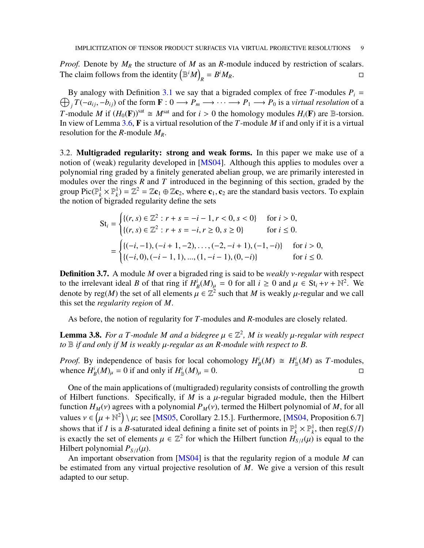*Proof.* Denote by  $M_R$  the structure of M as an *R*-module induced by restriction of scalars. The claim follows from the identity  $(\mathbb{B}^i M)$  $R = B$  ${}^{i}M_{R}$ .

 $\bigoplus_{j} T(-a_{ij}, -b_{ij})$  of the form  $\mathbf{F}: 0 \longrightarrow P_m \longrightarrow \cdots \longrightarrow P_1 \longrightarrow P_0$  is a *virtual resolution* of a By analogy with Definition [3.1](#page-6-0) we say that a bigraded complex of free *T*-modules  $P_i$  = *T*-module *M* if  $(H_0(\mathbf{F}))^{\text{sat}} \cong M^{\text{sat}}$  and for  $i > 0$  the homology modules  $H_i(\mathbf{F})$  are B-torsion. In view of Lemma [3.6,](#page-7-1) F is a virtual resolution of the *T*-module *M* if and only if it is a virtual resolution for the *R*-module *MR*.

3.2. Multigraded regularity: strong and weak forms. In this paper we make use of a notion of (weak) regularity developed in [\[MS04\]](#page-29-10). Although this applies to modules over a polynomial ring graded by a finitely generated abelian group, we are primarily interested in modules over the rings *R* and *T* introduced in the beginning of this section, graded by the group Pic( $\mathbb{P}_k^1 \times \mathbb{P}_k^1$ ) =  $\mathbb{Z}^2 = \mathbb{Z} \mathbf{c}_1 \oplus \mathbb{Z} \mathbf{c}_2$ , where  $\mathbf{c}_1$ ,  $\mathbf{c}_2$  are the standard basis vectors. To explain the notion of bigraded regularity define the sets

$$
St_i = \begin{cases} \{(r, s) \in \mathbb{Z}^2 : r + s = -i - 1, r < 0, s < 0\} & \text{for } i > 0, \\ \{(r, s) \in \mathbb{Z}^2 : r + s = -i, r \ge 0, s \ge 0\} & \text{for } i \le 0. \end{cases}
$$
\n
$$
= \begin{cases} \{(-i, -1), (-i + 1, -2), \dots, (-2, -i + 1), (-1, -i)\} & \text{for } i > 0, \\ \{(-i, 0), (-i - 1, 1), \dots, (1, -i - 1), (0, -i)\} & \text{for } i \le 0. \end{cases}
$$

Definition 3.7. A module *M* over a bigraded ring is said to be *weakly* ν*-regular* with respect to the irrelevant ideal *B* of that ring if  $H_1^i$  $\mathcal{L}_B^i(M)_{\mu} = 0$  for all  $i \geq 0$  and  $\mu \in \mathbf{St}_i + \nu + \mathbb{N}^2$ . We denote by reg(*M*) the set of all elements  $\mu \in \mathbb{Z}^2$  such that *M* is weakly  $\mu$ -regular and we call this set the *regularity region* of *M*.

As before, the notion of regularity for *T*-modules and *R*-modules are closely related.

**Lemma 3.8.** For a T-module M and a bidegree  $\mu \in \mathbb{Z}^2$ , M is weakly  $\mu$ -regular with respect *to* B *if and only if M is weakly* µ*-regular as an R-module with respect to B.*

*Proof.* By independence of basis for local cohomology  $H^i_B(M) \cong H^i_B(M)$  as *T*-modules, whence  $H^i_B(M)_{\mu} = 0$  if and only if  $H^i_B(M)_{\mu} = 0$ .

One of the main applications of (multigraded) regularity consists of controlling the growth of Hilbert functions. Specifically, if  $M$  is a  $\mu$ -regular bigraded module, then the Hilbert function  $H_M(v)$  agrees with a polynomial  $P_M(v)$ , termed the Hilbert polynomial of M, for all values  $v \in (\mu + \mathbb{N}^2) \setminus \mu$ ; see [\[MS05,](#page-29-14) Corollary 2.15.]. Furthermore, [\[MS04,](#page-29-10) Proposition 6.7] shows that if *I* is a *B*-saturated ideal defining a finite set of points in  $\mathbb{P}_k^1 \times \mathbb{P}_k^1$ , then reg(*S*/*I*) is exactly the set of elements  $\mu \in \mathbb{Z}^2$  for which the Hilbert function  $H_{S/I}(\mu)$  is equal to the Hilbert polynomial  $P_{S/I}(\mu)$ .

An important observation from [\[MS04\]](#page-29-10) is that the regularity region of a module *M* can be estimated from any virtual projective resolution of *M*. We give a version of this result adapted to our setup.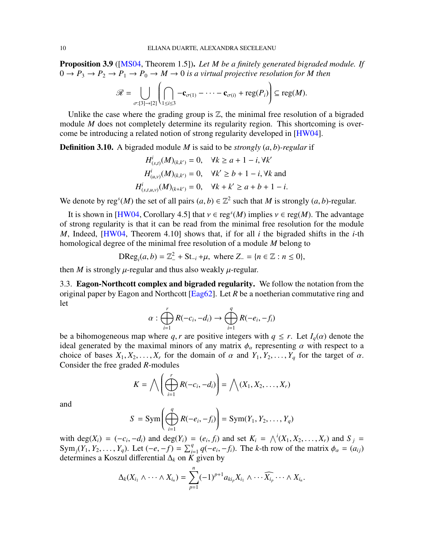<span id="page-9-1"></span>Proposition 3.9 ([\[MS04,](#page-29-10) Theorem 1.5]). *Let M be a finitely generated bigraded module. If*  $0 \to P_3 \to P_2 \to P_1 \to P_0 \to M \to 0$  *is a virtual projective resolution for* M then

$$
\mathscr{R}=\bigcup_{\sigma:[3]\to[2]}\left(\bigcap_{1\leq i\leq 3}-\mathbf{c}_{\sigma(1)}-\cdots-\mathbf{c}_{\sigma(i)}+\mathrm{reg}(P_i)\right)\subseteq\mathrm{reg}(M).
$$

Unlike the case where the grading group is  $\mathbb{Z}$ , the minimal free resolution of a bigraded module *M* does not completely determine its regularity region. This shortcoming is overcome be introducing a related notion of strong regularity developed in [\[HW04\]](#page-29-15).

Definition 3.10. A bigraded module *M* is said to be *strongly* (*a*, *b*)*-regular* if

$$
H_{(s,t)}^{i}(M)_{(k,k')} = 0, \quad \forall k \ge a+1-i, \forall k'
$$
  

$$
H_{(u,v)}^{i}(M)_{(k,k')} = 0, \quad \forall k' \ge b+1-i, \forall k \text{ and }
$$
  

$$
H_{(s,t,u,v)}^{i}(M)_{(k+k')} = 0, \quad \forall k+k' \ge a+b+1-i.
$$

We denote by reg<sup>*s*</sup>(*M*) the set of all pairs  $(a, b) \in \mathbb{Z}^2$  such that *M* is strongly  $(a, b)$ -regular.

It is shown in [\[HW04,](#page-29-15) Corollary 4.5] that  $v \in \text{reg}^s(M)$  implies  $v \in \text{reg}(M)$ . The advantage of strong regularity is that it can be read from the minimal free resolution for the module *M*, Indeed, [\[HW04,](#page-29-15) Theorem 4.10] shows that, if for all *i* the bigraded shifts in the *i*-th homological degree of the minimal free resolution of a module *M* belong to

$$
DReg_i(a, b) = \mathbb{Z}_-^2 + St_{-i} + \mu, \text{ where } Z_- = \{n \in \mathbb{Z} : n \le 0\},\
$$

<span id="page-9-0"></span>then *M* is strongly  $\mu$ -regular and thus also weakly  $\mu$ -regular.

3.3. Eagon-Northcott complex and bigraded regularity. We follow the notation from the original paper by Eagon and Northcott [\[Eag62\]](#page-29-16). Let *R* be a noetherian commutative ring and let

$$
\alpha: \bigoplus_{i=1}^r R(-c_i,-d_i) \to \bigoplus_{i=1}^q R(-e_i,-f_i)
$$

be a bihomogeneous map where *q*, *r* are positive integers with  $q \le r$ . Let  $I_q(\alpha)$  denote the ideal generated by the maximal minors of any matrix  $\phi_\alpha$  representing  $\alpha$  with respect to a choice of bases  $X_1, X_2, \ldots, X_r$  for the domain of  $\alpha$  and  $Y_1, Y_2, \ldots, Y_q$  for the target of  $\alpha$ . Consider the free graded *R*-modules

$$
K = \bigwedge \left( \bigoplus_{i=1}^r R(-c_i, -d_i) \right) = \bigwedge (X_1, X_2, \dots, X_r)
$$

and

$$
S = \text{Sym}\left(\bigoplus_{i=1}^{q} R(-e_i, -f_i)\right) = \text{Sym}(Y_1, Y_2, \dots, Y_q)
$$

with deg( $X_i$ ) =  $(-c_i, -d_i)$  and deg( $Y_i$ ) =  $(e_i, f_i)$  and set  $K_i = \bigwedge^i (X_1, X_2, \dots, X_r)$  and  $S_j$  =  $\text{Sym}_j(Y_1, Y_2, \ldots, Y_q)$ . Let  $(-e, -f) = \sum_{i=1}^q q(-e_i, -f_i)$ . The *k*-th row of the matrix  $\phi_\alpha = (a_{ij})$ determines a Koszul differential ∆*<sup>k</sup>* on *K* given by

$$
\Delta_k(X_{i_1}\wedge\cdots\wedge X_{i_n})=\sum_{p=1}^n(-1)^{p+1}a_{ki_p}X_{i_1}\wedge\cdots\widehat{X_{i_p}}\cdots\wedge X_{i_n}.
$$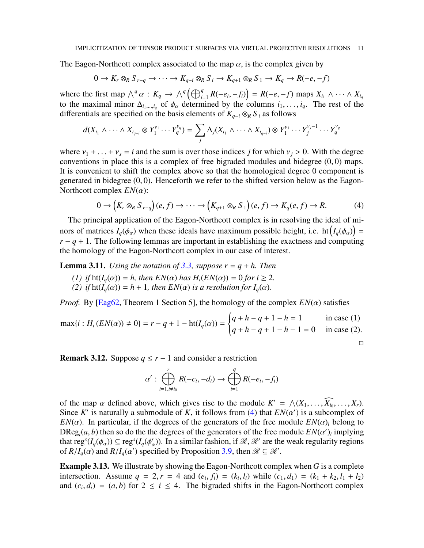The Eagon-Northcott complex associated to the map  $\alpha$ , is the complex given by

$$
0 \to K_r \otimes_R S_{r-q} \to \cdots \to K_{q-i} \otimes_R S_i \to K_{q+1} \otimes_R S_1 \to K_q \to R(-e, -f)
$$

where the first map  $\bigwedge^q \alpha : K_q \to \bigwedge^q \left( \bigoplus_{i=1}^q R(-e_i, -f_i) \right) = R(-e, -f)$  maps  $X_{i_1} \wedge \cdots \wedge X_{i_q}$ to the maximal minor  $\Delta_{i_1,...,i_q}$  of  $\phi_\alpha$  determined by the columns  $i_1,...,i_q$ . The rest of the differentials are specified on the basis elements of  $K_{q-i} \otimes_R S_i$  as follows

$$
d(X_{i_1}\wedge\cdots\wedge X_{i_{q-i}}\otimes Y_1^{\nu_1}\cdots Y_q^{\nu_q})=\sum_j \Delta_j(X_{i_1}\wedge\cdots\wedge X_{i_{q-i}})\otimes Y_1^{\nu_1}\cdots Y_j^{\nu_j-1}\cdots Y_q^{\nu_q}
$$

where  $v_1 + ... + v_s = i$  and the sum is over those indices *j* for which  $v_j > 0$ . With the degree conventions in place this is a complex of free bigraded modules and bidegree  $(0, 0)$  maps. It is convenient to shift the complex above so that the homological degree 0 component is generated in bidegree  $(0, 0)$ . Henceforth we refer to the shifted version below as the Eagon-Northcott complex *EN*(α):

<span id="page-10-0"></span>
$$
0 \to (K_r \otimes_R S_{r-q})(e, f) \to \cdots \to (K_{q+1} \otimes_R S_1)(e, f) \to K_q(e, f) \to R. \tag{4}
$$

The principal application of the Eagon-Northcott complex is in resolving the ideal of minors of matrices  $I_q(\phi_\alpha)$  when these ideals have maximum possible height, i.e. ht  $\left(I_q(\phi_\alpha)\right)$  =  $r - q + 1$ . The following lemmas are important in establishing the exactness and computing the homology of the Eagon-Northcott complex in our case of interest.

<span id="page-10-2"></span>**Lemma 3.11.** *Using the notation of* [3.3,](#page-9-0) *suppose*  $r = q + h$ *. Then* 

- *(1) if*  $\text{ht}(I_a(\alpha)) = h$ *, then*  $EN(\alpha)$  *has*  $H_i(EN(\alpha)) = 0$  *for*  $i \geq 2$ *. (2) if*  $ht(I_a(\alpha)) = h + 1$ *, then*  $EN(\alpha)$  *is a resolution for*  $I_a(\alpha)$ *.*
- 

*Proof.* By [\[Eag62,](#page-29-16) Theorem 1 Section 5], the homology of the complex  $EN(\alpha)$  satisfies

$$
\max\{i : H_i(EN(\alpha)) \neq 0\} = r - q + 1 - \text{ht}(I_q(\alpha)) = \begin{cases} q + h - q + 1 - h = 1 & \text{in case (1)}\\ q + h - q + 1 - h - 1 = 0 & \text{in case (2)}. \end{cases}
$$

<span id="page-10-3"></span>**Remark 3.12.** Suppose  $q \leq r - 1$  and consider a restriction

$$
\alpha': \bigoplus_{i=1, i\neq i_0}^{r} R(-c_i, -d_i) \to \bigoplus_{i=1}^{q} R(-e_i, -f_i)
$$

of the map  $\alpha$  defined above, which gives rise to the module  $K' = \bigwedge (X_1, \dots, \widehat{X_{i_0}}, \dots, X_r)$ . Since K' is naturally a submodule of K, it follows from [\(4\)](#page-10-0) that  $EN(\alpha')$  is a subcomplex of *EN*( $\alpha$ ). In particular, if the degrees of the generators of the free module *EN*( $\alpha$ )*i* belong to  $DReg<sub>i</sub>(a, b)$  then so do the the degrees of the generators of the free module  $EN(\alpha')$  implying that  $\text{reg}^s(I_q(\phi_\alpha)) \subseteq \text{reg}^s(I_q(\phi'_\alpha))$ . In a similar fashion, if  $\mathcal{R}, \mathcal{R}'$  are the weak regularity regions of  $R/I_q(\alpha)$  and  $R/I_q(\alpha')$  specified by Proposition [3.9,](#page-9-1) then  $\mathcal{R} \subseteq \mathcal{R}'$ .

<span id="page-10-1"></span>Example 3.13. We illustrate by showing the Eagon-Northcott complex when *G* is a complete intersection. Assume  $q = 2, r = 4$  and  $(e_i, f_i) = (k_i, l_i)$  while  $(c_1, d_1) = (k_1 + k_2, l_1 + l_2)$ and  $(c_i, d_i) = (a, b)$  for  $2 \le i \le 4$ . The bigraded shifts in the Eagon-Northcott complex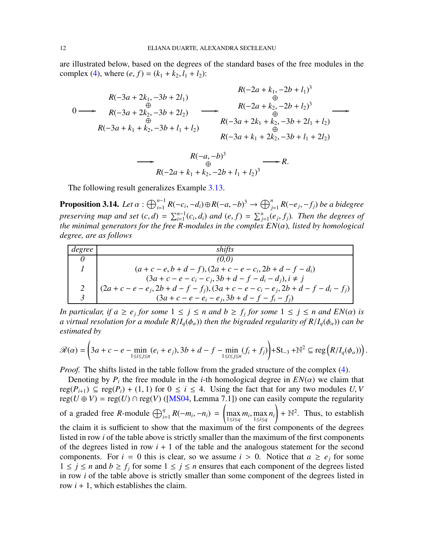are illustrated below, based on the degrees of the standard bases of the free modules in the complex [\(4\)](#page-10-0), where  $(e, f) = (k_1 + k_2, l_1 + l_2)$ :

$$
R(-3a + 2k_1, -3b + 2l_1)
$$
\n
$$
0 \longrightarrow R(-3a + 2k_2, -3b + 2l_2)
$$
\n
$$
R(-3a + k_1 + k_2, -3b + l_1 + l_2)
$$
\n
$$
R(-3a + k_1 + k_2, -3b + l_1 + l_2)
$$
\n
$$
R(-3a + k_1 + k_2, -3b + l_1 + l_2)
$$
\n
$$
R(-3a + k_1 + 2k_2, -3b + l_1 + 2l_2)
$$

$$
\longrightarrow \begin{array}{c}\n R(-a,-b)^3 \\
 \oplus \\
 R(-2a+k_1+k_2,-2b+l_1+l_2)^3\n \end{array}\longrightarrow R.
$$

The following result generalizes Example [3.13.](#page-10-1)

<span id="page-11-0"></span>**Proposition 3.14.** Let  $\alpha$  :  $\bigoplus_{i=1}^{n-1}R(-c_i,-d_i)\oplus R(-a,-b)^3\to \bigoplus_{j=1}^nR(-e_j,-f_j)$  be a bidegree preserving map and set  $(c, d) = \sum_{i=1}^{n-1} (c_i, d_i)$  and  $(e, f) = \sum_{j=1}^{n} (e_j, f_j)$ . Then the degrees of *the minimal generators for the free R-modules in the complex EN*(α)*, listed by homological degree, are as follows*

| degree | shifts                                                                                     |
|--------|--------------------------------------------------------------------------------------------|
|        | (0,0)                                                                                      |
|        | $(a + c - e, b + d - f), (2a + c - e - c_i, 2b + d - f - d_i)$                             |
|        | $(3a + c - e - c_i - c_j, 3b + d - f - d_i - d_j), i \neq j$                               |
|        | $ (2a + c - e - e_j, 2b + d - f - f_j), (3a + c - e - c_i - e_j, 2b + d - f - d_i - f_j) $ |
|        | $(3a + c - e - e_i - e_j, 3b + d - f - f_i - f_j)$                                         |

*In particular, if*  $a \ge e_j$  *for some*  $1 \le j \le n$  *and*  $b \ge f_j$  *for some*  $1 \le j \le n$  *and*  $EN(\alpha)$  *is a* virtual resolution for a module  $R/I_q(\phi_\alpha)$  then the bigraded regularity of  $R/I_q(\phi_\alpha)$  can be *estimated by*

$$
\mathscr{R}(\alpha) = \left(3a + c - e - \min_{1 \le i \le j \le n} (e_i + e_j), 3b + d - f - \min_{1 \le i \le j \le n} (f_i + f_j)\right) + \text{St}_{-3} + \mathbb{N}^2 \subseteq \text{reg}\left(R/I_q(\phi_\alpha)\right).
$$

*Proof.* The shifts listed in the table follow from the graded structure of the complex [\(4\)](#page-10-0).

Denoting by  $P_i$  the free module in the *i*-th homological degree in  $EN(\alpha)$  we claim that  $reg(P_{i+1})$  ⊆  $reg(P_i)$  + (1, 1) for  $0 \le i \le 4$ . Using the fact that for any two modules *U*, *V* reg( $U \oplus V$ ) = reg( $U$ )  $\cap$  reg( $V$ ) ([\[MS04,](#page-29-10) Lemma 7.1]) one can easily compute the regularity of a graded free *R*-module  $\bigoplus_{i=1}^{q} R(-m_i, -n_i)$  =  $\overline{1}$ max 1≤*i*≤*q*  $m_i$ , max 1≤*i*≤*q ni* !  $+ \mathbb{N}^2$ . Thus, to establish the claim it is sufficient to show that the maximum of the first components of the degrees listed in row *i* of the table above is strictly smaller than the maximum of the first components of the degrees listed in row  $i + 1$  of the table and the analogous statement for the second components. For  $i = 0$  this is clear, so we assume  $i > 0$ . Notice that  $a \geq e_i$  for some  $1 ≤ j ≤ n$  and  $b ≥ f_j$  for some  $1 ≤ j ≤ n$  ensures that each component of the degrees listed in row *i* of the table above is strictly smaller than some component of the degrees listed in row  $i + 1$ , which establishes the claim.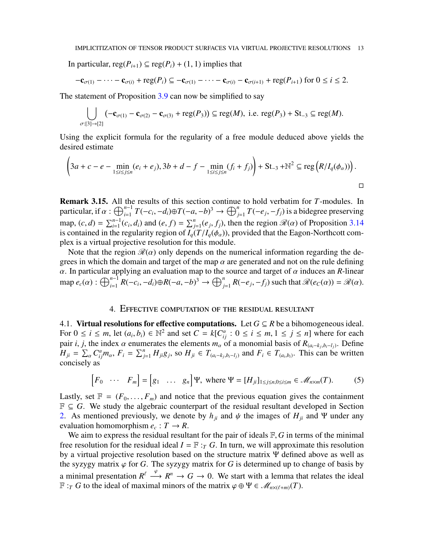In particular,  $reg(P_{i+1}) \subseteq reg(P_i) + (1, 1)$  implies that

$$
-\mathbf{c}_{\sigma(1)}-\cdots-\mathbf{c}_{\sigma(i)}+\operatorname{reg}(P_i)\subseteq-\mathbf{c}_{\sigma(1)}-\cdots-\mathbf{c}_{\sigma(i)}-\mathbf{c}_{\sigma(i+1)}+\operatorname{reg}(P_{i+1})\text{ for }0\leq i\leq 2.
$$

The statement of Proposition [3.9](#page-9-1) can now be simplified to say

$$
\bigcup_{\sigma:[3]\to[2]}(-\mathbf{c}_{\sigma(1)}-\mathbf{c}_{\sigma(2)}-\mathbf{c}_{\sigma(3)}+\mathrm{reg}(P_3))\subseteq\mathrm{reg}(M),\text{ i.e. } \mathrm{reg}(P_3)+\mathrm{St}_{-3}\subseteq\mathrm{reg}(M).
$$

Using the explicit formula for the regularity of a free module deduced above yields the desired estimate

$$
\left(3a + c - e - \min_{1 \le i \le j \le n} (e_i + e_j), 3b + d - f - \min_{1 \le i \le j \le n} (f_i + f_j)\right) + \text{St}_{-3} + \mathbb{N}^2 \subseteq \text{reg}\left(R/I_q(\phi_\alpha)\right).
$$

<span id="page-12-1"></span>Remark 3.15. All the results of this section continue to hold verbatim for *T*-modules. In particular, if  $\alpha$ :  $\bigoplus_{i=1}^{n-1}T(-c_i, -d_i)\oplus T(-a, -b)^3 \to \bigoplus_{j=1}^nT(-e_j, -f_j)$  is a bidegree preserving map,  $(c, d) = \sum_{i=1}^{n-1} (c_i, d_i)$  and  $(e, f) = \sum_{j=1}^{n} (e_j, f_j)$ , then the region  $\mathcal{R}(\alpha)$  of Proposition [3.14](#page-11-0) is contained in the regularity region of  $I_q(T/I_q(\phi_\alpha))$ , provided that the Eagon-Northcott complex is a virtual projective resolution for this module.

Note that the region  $\mathcal{R}(\alpha)$  only depends on the numerical information regarding the degrees in which the domain and target of the map  $\alpha$  are generated and not on the rule defining  $\alpha$ . In particular applying an evaluation map to the source and target of  $\alpha$  induces an *R*-linear map  $e_c(\alpha)$ :  $\bigoplus_{i=1}^{n-1} R(-c_i, -d_i) \oplus R(-a, -b)^3 \to \bigoplus_{j=1}^n R(-e_j, -f_j)$  such that  $\mathcal{R}(e_c(\alpha)) = \mathcal{R}(\alpha)$ .

### 4. Effective computation of the residual resultant

<span id="page-12-0"></span>4.1. Virtual resolutions for effective computations. Let  $G \subseteq R$  be a bihomogeneous ideal. For  $0 \le i \le m$ , let  $(a_i, b_i) \in \mathbb{N}^2$  and set  $C = k[C_{ij}^{\alpha} : 0 \le i \le m, 1 \le j \le n]$  where for each pair *i*, *j*, the index  $\alpha$  enumerates the elements  $m_{\alpha}$  of a monomial basis of  $R_{(a_i-k_j,b_i-l_j)}$ . Define  $H_{ji} = \sum_{\alpha} C_{ij}^{\alpha} m_{\alpha}$ ,  $F_i = \sum_{j=1}^{n} H_{ji} g_j$ , so  $H_{ji} \in T_{(a_i - k_j, b_i - l_j)}$  and  $F_i \in T_{(a_i, b_i)}$ . This can be written concisely as

<span id="page-12-2"></span>
$$
\begin{bmatrix} F_0 & \cdots & F_m \end{bmatrix} = \begin{bmatrix} g_1 & \cdots & g_n \end{bmatrix} \Psi, \text{ where } \Psi = [H_{ji}]_{1 \leq j \leq n, 0 \leq i \leq m} \in \mathcal{M}_{n \times m}(T). \tag{5}
$$

Lastly, set  $\mathbb{F} = (F_0, \ldots, F_m)$  and notice that the previous equation gives the containment  $\mathbb{F} \subseteq G$ . We study the algebraic counterpart of the residual resultant developed in Section [2.](#page-1-0) As mentioned previously, we denote by  $h_{ji}$  and  $\psi$  the images of  $H_{ji}$  and  $\Psi$  under any evaluation homomorphism  $e_c: T \to R$ .

We aim to express the residual resultant for the pair of ideals  $\mathbb{F}, G$  in terms of the minimal free resolution for the residual ideal  $I = \mathbb{F}$ : *T G*. In turn, we will approximate this resolution by a virtual projective resolution based on the structure matrix Ψ defined above as well as the syzygy matrix  $\varphi$  for *G*. The syzygy matrix for *G* is determined up to change of basis by a minimal presentation  $R^{\ell} \stackrel{\varphi}{\longrightarrow} R^n \to G \to 0$ . We start with a lemma that relates the ideal  $\mathbb{F}:$ *T G* to the ideal of maximal minors of the matrix  $\varphi \oplus \Psi \in \mathcal{M}_{n \times (\ell+m)}(T)$ .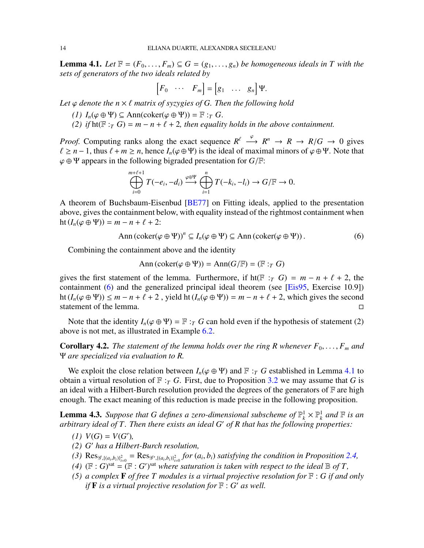<span id="page-13-1"></span>**Lemma 4.1.** *Let*  $\mathbb{F} = (F_0, \ldots, F_m) \subseteq G = (g_1, \ldots, g_n)$  *be homogeneous ideals in* T with the *sets of generators of the two ideals related by*

$$
\begin{bmatrix} F_0 & \cdots & F_m \end{bmatrix} = \begin{bmatrix} g_1 & \cdots & g_n \end{bmatrix} \Psi.
$$

*Let* ϕ *denote the n* × ℓ *matrix of syzygies of G. Then the following hold*

- *(1)*  $I_n(\varphi \oplus \Psi)$  ⊆ Ann(coker( $\varphi \oplus \Psi$ )) =  $\mathbb{F}$  :*T G*.
- *(2) if*  $ht(\mathbb{F}:T G) = m n + \ell + 2$ , then equality holds in the above containment.

*Proof.* Computing ranks along the exact sequence  $R^{\ell} \xrightarrow{\varphi} R^{n} \rightarrow R \rightarrow R/G \rightarrow 0$  gives  $\ell \geq n-1$ , thus  $\ell + m \geq n$ , hence  $I_n(\varphi \oplus \Psi)$  is the ideal of maximal minors of  $\varphi \oplus \Psi$ . Note that ϕ ⊕ Ψ appears in the following bigraded presentation for *G*/F:

$$
\bigoplus_{i=0}^{m+\ell+1} T(-e_i,-d_i) \xrightarrow{\varphi \oplus \Psi} \bigoplus_{i=1}^n T(-k_i,-l_i) \to G/\mathbb{F} \to 0.
$$

A theorem of Buchsbaum-Eisenbud [\[BE77\]](#page-28-3) on Fitting ideals, applied to the presentation above, gives the containment below, with equality instead of the rightmost containment when  $ht(I_n(\varphi \oplus \Psi)) = m - n + \ell + 2$ :

<span id="page-13-0"></span>
$$
\text{Ann} \left( \text{coker} (\varphi \oplus \Psi) \right)^n \subseteq I_n(\varphi \oplus \Psi) \subseteq \text{Ann} \left( \text{coker} (\varphi \oplus \Psi) \right). \tag{6}
$$

Combining the containment above and the identity

$$
Ann(\mathrm{coker}(\varphi \oplus \Psi)) = Ann(G/\mathbb{F}) = (\mathbb{F} :_T G)
$$

gives the first statement of the lemma. Furthermore, if ht( $F : T$  *G*) =  $m - n + \ell + 2$ , the containment [\(6\)](#page-13-0) and the generalized principal ideal theorem (see [\[Eis95,](#page-29-17) Exercise 10.9]) ht ( $I_n(\varphi \oplus \Psi)$ ) ≤ *m* − *n* +  $\ell$  + 2, yield ht ( $I_n(\varphi \oplus \Psi)$ ) = *m* − *n* +  $\ell$  + 2, which gives the second statement of the lemma. statement of the lemma.

Note that the identity  $I_n(\varphi \oplus \Psi) = \mathbb{F} : T$  *G* can hold even if the hypothesis of statement (2) above is not met, as illustrated in Example [6.2.](#page-24-0)

<span id="page-13-4"></span>**Corollary 4.2.** The statement of the lemma holds over the ring R whenever  $F_0, \ldots, F_m$  and Ψ *are specialized via evaluation to R.*

We exploit the close relation between  $I_n(\varphi \oplus \Psi)$  and  $\mathbb{F}:$  *T G* established in Lemma [4.1](#page-13-1) to obtain a virtual resolution of  $\mathbb{F}$  :*<sub>T</sub> G*. First, due to Proposition [3.2](#page-7-0) we may assume that *G* is an ideal with a Hilbert-Burch resolution provided the degrees of the generators of  $\mathbb F$  are high enough. The exact meaning of this reduction is made precise in the following proposition.

<span id="page-13-3"></span>**Lemma 4.3.** Suppose that G defines a zero-dimensional subscheme of  $\mathbb{P}_k^1 \times \mathbb{P}_k^1$  and  $\mathbb{F}$  is an *arbitrary ideal of T. Then there exists an ideal G*′ *of R that has the following properties:*

- $(1) V(G) = V(G'),$
- *(2) G*′ *has a Hilbert-Burch resolution,*
- (3)  $\text{Res}_{\mathscr{G},\{(a_i,b_i)\}_{i=0}^2} = \text{Res}_{\mathscr{G}',\{(a_i,b_i)\}_{i=0}^2}$  for  $(a_i,b_i)$  satisfying the condition in Proposition [2.4,](#page-3-0)
- <span id="page-13-2"></span>*(4)*  $(\mathbb{F}:G)$ <sup>sat</sup> =  $(\mathbb{F}:G')$ <sup>sat</sup> where saturation is taken with respect to the ideal  $\mathbb{B}$  of T,
- *(5) a complex* F *of free T modules is a virtual projective resolution for* F : *G if and only if* F *is a virtual projective resolution for* F : *G* ′ *as well.*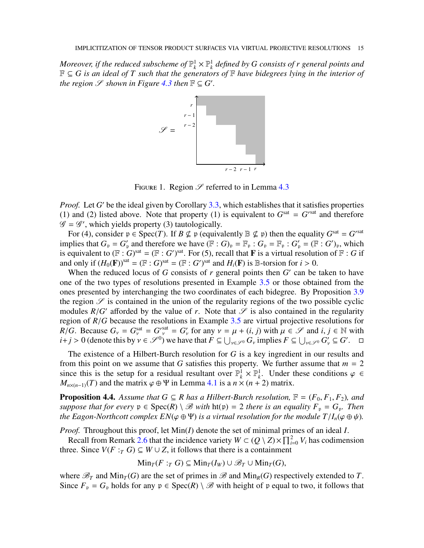*Moreover, if the reduced subscheme of*  $\mathbb{P}_k^1 \times \mathbb{P}_k^1$  *defined by G consists of r general points and* F ⊆ *G is an ideal of T such that the generators of* F *have bidegrees lying in the interior of the region*  $\mathscr S$  *shown in Figure* [4.3](#page-13-2) *then*  $\mathbb F \subseteq G'$ *.* 



FIGURE 1. Region  $\mathscr S$  referred to in Lemma [4.3](#page-13-3)

*Proof.* Let *G*' be the ideal given by Corollary [3.3,](#page-7-2) which establishes that it satisfies properties (1) and (2) listed above. Note that property (1) is equivalent to  $G<sup>sat</sup> = G<sup>sat</sup>$  and therefore  $\mathscr{G} = \mathscr{G}'$ , which yields property (3) tautologically.

For (4), consider  $p \in \text{Spec}(T)$ . If  $B \nsubseteq p$  (equivalently  $\mathbb{B} \nsubseteq p$ ) then the equality  $G^{\text{sat}} = G^{\text{sat}}$ implies that  $G_p = G'_p$  and therefore we have  $(\mathbb{F} : G)_p = \mathbb{F}_p : G_p = \mathbb{F}_p : G'_p = (\mathbb{F} : G')_p$ , which is equivalent to  $(\mathbb{F}: G)$ <sup>sat</sup> =  $(\mathbb{F}: G')$ <sup>sat</sup>. For (5), recall that **F** is a virtual resolution of  $\mathbb{F}: G$  if and only if  $(H_0(\mathbf{F}))^{\text{sat}} = (\mathbb{F} : G)^{\text{sat}} = (\mathbb{F} : G')^{\text{sat}}$  and  $H_i(\mathbf{F})$  is  $\mathbb{B}$ -torsion for  $i > 0$ .

When the reduced locus of *G* consists of *r* general points then *G'* can be taken to have one of the two types of resolutions presented in Example [3.5](#page-7-3) or those obtained from the ones presented by interchanging the two coordinates of each bidegree. By Proposition [3.9](#page-9-1) the region  $\mathscr S$  is contained in the union of the regularity regions of the two possible cyclic modules  $R/G'$  afforded by the value of *r*. Note that  $\mathscr S$  is also contained in the regularity region of *R*/*G* because the resolutions in Example [3.5](#page-7-3) are virtual projective resolutions for *R*/*G*. Because  $G_v = G_v^{\text{sat}} = G_v^{\text{sat}} = G_v'$  for any  $v = \mu + (i, j)$  with  $\mu \in \mathcal{S}$  and  $i, j \in \mathbb{N}$  with  $i+j > 0$  (denote this by  $v \in \mathcal{S}^0$ ) we have that  $F \subseteq \bigcup_{v \in \mathcal{S}^0} G_v$  implies  $F \subseteq \bigcup_{v \in \mathcal{S}^0} G_v' \subseteq G'$ .  $\Box$ 

The existence of a Hilbert-Burch resolution for *G* is a key ingredient in our results and from this point on we assume that *G* satisfies this property. We further assume that  $m = 2$ since this is the setup for a residual resultant over  $\mathbb{P}_k^1 \times \mathbb{P}_k^1$ . Under these conditions  $\varphi \in$  $M_{n \times (n-1)}(T)$  and the matrix  $\varphi \oplus \Psi$  in Lemma [4.1](#page-13-1) is a  $n \times (n+2)$  matrix.

<span id="page-14-0"></span>**Proposition 4.4.** Assume that  $G \subseteq R$  has a Hilbert-Burch resolution,  $F = (F_0, F_1, F_2)$ , and *suppose that for every*  $p \in Spec(R) \setminus \mathcal{B}$  *with*  $ht(p) = 2$  *there is an equality*  $F_p = G_p$ *. Then the Eagon-Northcott complex EN*( $\varphi \oplus \Psi$ ) *is a virtual resolution for the module T*/*I<sub>n</sub>*( $\varphi \oplus \psi$ )*.* 

*Proof.* Throughout this proof, let Min(*I*) denote the set of minimal primes of an ideal *I*.

Recall from Remark [2.6](#page-4-0) that the incidence variety  $W \subset (Q \setminus Z) \times \prod_{i=0}^{2} V_i$  has codimension three. Since *V*(*F* :*T G*) ⊆ *W* ∪ *Z*, it follows that there is a containment

 $\text{Min}_{T}(F : T G) \subseteq \text{Min}_{T}(I_{W}) \cup \mathscr{B}_{T} \cup \text{Min}_{T}(G),$ 

where  $\mathcal{B}_T$  and  $\text{Min}_T(G)$  are the set of primes in  $\mathcal{B}$  and  $\text{Min}_R(G)$  respectively extended to *T*. Since  $F_p = G_p$  holds for any  $p \in Spec(R) \setminus \mathcal{B}$  with height of p equal to two, it follows that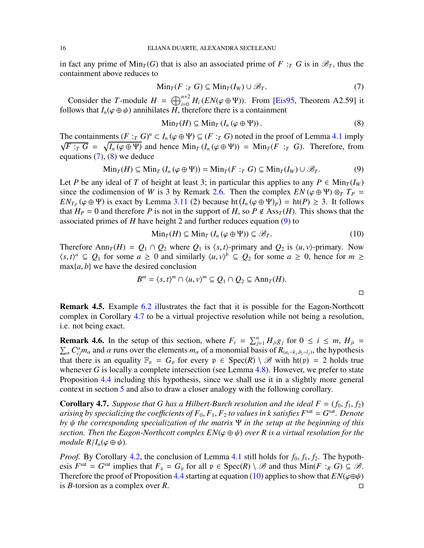in fact any prime of  $\text{Min}_T(G)$  that is also an associated prime of F : *T G* is in  $\mathcal{B}_T$ , thus the containment above reduces to

<span id="page-15-0"></span>
$$
\operatorname{Min}_T(F :_T G) \subseteq \operatorname{Min}_T(I_W) \cup \mathscr{B}_T. \tag{7}
$$

Consider the *T*-module  $H = \bigoplus_{i=0}^{n+2} H_i(EN(\varphi \oplus \Psi))$ . From [\[Eis95,](#page-29-17) Theorem A2.59] it follows that  $I_n(\varphi \oplus \psi)$  annihilates *H*, therefore there is a containment

<span id="page-15-1"></span>
$$
\operatorname{Min}_{T}(H) \subseteq \operatorname{Min}_{T} (I_{n}(\varphi \oplus \Psi)). \tag{8}
$$

The containments  $(F : T G)^n \subset I_n$  ( $\varphi \oplus \Psi$ )  $\subseteq (F : T G)$  noted in the proof of Lemma [4.1](#page-13-1) imply  $\sqrt{F}: T \ G = \sqrt{I_n(\varphi \oplus \Psi)}$  and hence  $\text{Min}_T (I_n(\varphi \oplus \Psi)) = \text{Min}_T (F : T \ G)$ . Therefore, from equations  $(7)$ ,  $(8)$  we deduce

<span id="page-15-2"></span>
$$
\operatorname{Min}_{T}(H) \subseteq \operatorname{Min}_{T} (I_{n} (\varphi \oplus \Psi)) = \operatorname{Min}_{T}(F :_{T} G) \subseteq \operatorname{Min}_{T}(I_{W}) \cup \mathscr{B}_{T}.
$$
 (9)

Let *P* be any ideal of *T* of height at least 3; in particular this applies to any  $P \in \text{Min}_T(I_W)$ since the codimension of *W* is 3 by Remark [2.6.](#page-4-0) Then the complex  $EN(\varphi \oplus \Psi) \otimes_T T_P =$  $EN_{T_P}(\varphi \oplus \Psi)$  is exact by Lemma [3.11](#page-10-2) (2) because ht $(I_n(\varphi \oplus \Psi)_P) = \text{ht}(P) \geq 3$ . It follows that  $H_P = 0$  and therefore P is not in the support of H, so  $P \notin \text{Ass}_T(H)$ . This shows that the associated primes of *H* have height 2 and further reduces equation [\(9\)](#page-15-2) to

<span id="page-15-4"></span>
$$
\text{Min}_T(H) \subseteq \text{Min}_T (I_n (\varphi \oplus \Psi)) \subseteq \mathscr{B}_T. \tag{10}
$$

Therefore Ann<sub>*T*</sub>(*H*) =  $Q_1 \cap Q_2$  where  $Q_1$  is  $\langle s, t \rangle$ -primary and  $Q_2$  is  $\langle u, v \rangle$ -primary. Now  $\langle s, t \rangle^a \subseteq Q_1$  for some  $a \ge 0$  and similarly  $\langle u, v \rangle^b \subseteq Q_2$  for some  $a \ge 0$ , hence for  $m \ge 0$  $max{a, b}$  we have the desired conclusion

$$
B^m = \langle s, t \rangle^m \cap \langle u, v \rangle^m \subseteq Q_1 \cap Q_2 \subseteq \text{Ann}_T(H).
$$

Remark 4.5. Example [6.2](#page-24-0) illustrates the fact that it is possible for the Eagon-Northcott complex in Corollary [4.7](#page-15-3) to be a virtual projective resolution while not being a resolution, i.e. not being exact.

**Remark 4.6.** In the setup of this section, where  $F_i = \sum_{j=1}^n H_{ji}g_j$  for  $0 \le i \le m$ ,  $H_{ji} = \sum_{j=1}^n m_{ij}$  and  $\alpha$  runs over the elements  $m_{\alpha}$  of a monomial basis of  $R_{(a_i-k, b_i-l_i)}$ , the hypothesis  $\alpha$   $C_{ij}^{\alpha}m_{\alpha}$  and  $\alpha$  runs over the elements  $m_{\alpha}$  of a monomial basis of  $R_{(a_i-k_j,b_i-l_j)}$ , the hypothesis that there is an equality  $\mathbb{F}_p = G_p$  for every  $p \in Spec(R) \setminus \mathcal{B}$  with  $ht(p) = 2$  holds true whenever *G* is locally a complete intersection (see Lemma [4.8\)](#page-16-0). However, we prefer to state Proposition [4.4](#page-14-0) including this hypothesis, since we shall use it in a slightly more general context in section [5](#page-20-0) and also to draw a closer analogy with the following corollary.

<span id="page-15-3"></span>**Corollary 4.7.** *Suppose that G has a Hilbert-Burch resolution and the ideal F =*  $(f_0, f_1, f_2)$  $a$ rising by specializing the coefficients of  $F_0, F_1, F_2$  to values in  $k$  satisfies  $F^{\rm sat}$   $=$   $G^{\rm sat}.$  Denote *by* ψ *the corresponding specialization of the matrix* Ψ *in the setup at the beginning of this section. Then the Eagon-Northcott complex*  $EN(\varphi \oplus \psi)$  *over R is a virtual resolution for the module*  $R/I_n(\varphi \oplus \psi)$ *.* 

*Proof.* By Corollary [4.2,](#page-13-4) the conclusion of Lemma [4.1](#page-13-1) still holds for  $f_0$ ,  $f_1$ ,  $f_2$ . The hypothesis  $F^{\text{sat}} = G^{\text{sat}}$  implies that  $F_p = G_p$  for all  $p \in \text{Spec}(R) \setminus \mathcal{B}$  and thus  $\text{Min}(F :_R G) \subseteq \mathcal{B}$ . Therefore the proof of Proposition [4.4](#page-14-0) starting at equation [\(10\)](#page-15-4) applies to show that  $EN(\varphi \oplus \psi)$  is *B*-torsion as a complex over *R*. is *B*-torsion as a complex over *R*.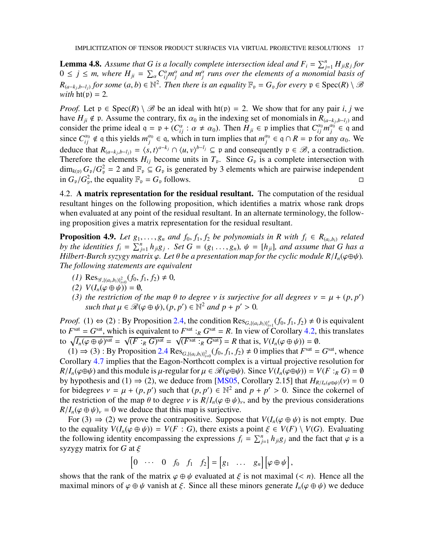<span id="page-16-0"></span>**Lemma 4.8.** Assume that G is a locally complete intersection ideal and  $F_i = \sum_{j=1}^n H_{ji}g_j$  for  $0 \leq j \leq m$ , where  $H_{ji} = \sum_{\alpha} C_{ij}^{\alpha} m_j^{\alpha}$  $\int_{j}^{a}$  and  $m_j^{\alpha}$  runs over the elements of a monomial basis of  $R_{(a-k_j,b-l_j)}$  for some  $(a,b) \in \mathbb{N}^2$ . Then there is an equality  $\mathbb{F}_p = G_p$  for every  $p \in \text{Spec}(R) \setminus \mathcal{B}$ *with*  $ht(p) = 2$ .

*Proof.* Let  $p \in Spec(R) \setminus \mathcal{B}$  be an ideal with  $ht(p) = 2$ . We show that for any pair *i*, *j* we have  $H_{ji} \notin \mathfrak{p}$ . Assume the contrary, fix  $\alpha_0$  in the indexing set of monomials in  $R_{(a-k_j,b-l_j)}$  and consider the prime ideal  $q = p + (C_{ij}^{\alpha} : \alpha \neq \alpha_0)$ . Then  $H_{ji} \in p$  implies that  $C_{ij}^{\alpha_0} m_j^{\alpha_0}$  $\gamma$ <sup> $\alpha$ 0</sup> ∈ q and since  $C_{ij}^{\alpha_0} \notin \mathfrak{q}$  this yields  $m_j^{\alpha_0}$  $j^{a_0} \in \mathfrak{q}$ , which in turn implies that  $m_j^{a_0}$  $a_j^{\alpha_0} \in \mathfrak{q} \cap R = \mathfrak{p}$  for any  $\alpha_0$ . We deduce that  $R_{(a-k_j,b-l_j)} = \langle s, t \rangle^{a-k_j} \cap \langle u, v \rangle^{b-l_j} \subseteq \mathfrak{p}$  and consequently  $\mathfrak{p} \in \mathcal{B}$ , a contradiction. Therefore the elements  $H_{ij}$  become units in  $T_p$ . Since  $G_p$  is a complete intersection with  $\dim_{k(p)} G_p / G_p^2 = 2$  and  $\mathbb{F}_p \subseteq G_p$  is generated by 3 elements which are pairwise independent in  $G_p/G_p^2$ , the equality  $\mathbb{F}_p = G_p$  follows.

4.2. A matrix representation for the residual resultant. The computation of the residual resultant hinges on the following proposition, which identifies a matrix whose rank drops when evaluated at any point of the residual resultant. In an alternate terminology, the following proposition gives a matrix representation for the residual resultant.

<span id="page-16-1"></span>**Proposition 4.9.** *Let*  $g_1, \ldots, g_n$  *and*  $f_0, f_1, f_2$  *be polynomials in*  $R$  *with*  $f_i \in R_{(a_i, b_i)}$  *related by the identities*  $f_i = \sum_{j=1}^n h_{ji}g_j$ . Set  $G = (g_1 \ldots, g_n)$ ,  $\psi = [h_{ji}]$ , and assume that G has a *Hilbert-Burch syzygy matrix*  $\varphi$ *. Let*  $\theta$  *be a presentation map for the cyclic module R*/*I<sub>n</sub>*( $\varphi \oplus \psi$ )*. The following statements are equivalent*

- $(I)$  Res<sub>g</sub><sub>,{(*a<sub>i</sub>*,*b<sub>i</sub>*)}<sup>2</sup><sub>*i*=0</sub></sub> $(f_0, f_1, f_2) \neq 0$ ,
- $(V(I_n(\varphi \oplus \psi)) = \emptyset,$
- *(3) the restriction of the map*  $\theta$  *to degree*  $\nu$  *is surjective for all degrees*  $\nu = \mu + (p, p')$  $\mathscr{B}(\varphi \oplus \psi), (p, p') \in \mathbb{N}^2$  *and*  $p + p' > 0$ *.*

*Proof.* (1)  $\Leftrightarrow$  (2) : By Proposition [2.4,](#page-3-0) the condition  $\text{Res}_{G,\{(a_i,b_i)\}_{i=1}^s}(f_0, f_1, f_2) \neq 0$  is equivalent to  $F<sup>sat</sup> = G<sup>sat</sup>$ , which is equivalent to  $F<sup>sat</sup> :_R G<sup>sat</sup> = R$ . In view of Corollary [4.2,](#page-13-4) this translates to  $\sqrt{I_n(\varphi \oplus \psi)^{sat}} = \sqrt{(F :_R G)^{sat}} = \sqrt{(F^{sat} :_R G^{sat})} = R$  that is,  $V(I_n(\varphi \oplus \psi)) = \emptyset$ .

 $(1)$  ⇒  $(3)$ : By Proposition [2.4](#page-3-0) Res<sub>*G*,{(*a<sub>i</sub>*,*b<sub>i</sub>*)}<sup>2</sup><sub>*i*=0</sub></sub> $(f_0, f_1, f_2) \neq 0$  implies that  $F^{\text{sat}} = G^{\text{sat}}$ , whence Corollary [4.7](#page-15-3) implies that the Eagon-Northcott complex is a virtual projective resolution for  $R/I_n(\varphi \oplus \psi)$  and this module is  $\mu$ -regular for  $\mu \in \mathcal{R}(\varphi \oplus \psi)$ . Since  $V(I_n(\varphi \oplus \psi)) = V(F :_R G) = \emptyset$ by hypothesis and (1)  $\Rightarrow$  (2), we deduce from [\[MS05,](#page-29-14) Corollary 2.15] that  $H_{R/I_n(\varphi \oplus \psi)}(v) = 0$ for bidegrees  $v = \mu + (p, p')$  such that  $(p, p') \in \mathbb{N}^2$  and  $p + p' > 0$ . Since the cokernel of the restriction of the map  $\theta$  to degree  $\nu$  is  $R/I_n(\varphi \oplus \psi)_\nu$ , and by the previous considerations  $R/I_n(\varphi \oplus \psi)_v = 0$  we deduce that this map is surjective.

For (3)  $\Rightarrow$  (2) we prove the contrapositive. Suppose that  $V(I_n(\varphi \oplus \psi))$  is not empty. Due to the equality  $V(I_n(\varphi \oplus \psi)) = V(F : G)$ , there exists a point  $\xi \in V(F) \setminus V(G)$ . Evaluating the following identity encompassing the expressions  $f_i = \sum_{j=1}^n h_{ji}g_j$  and the fact that  $\varphi$  is a syzygy matrix for  $G$  at  $\xi$ 

 $\begin{bmatrix} 0 & \cdots & 0 & f_0 & f_1 & f_2 \end{bmatrix} = \begin{bmatrix} g_1 & \cdots & g_n \end{bmatrix} \begin{bmatrix} \varphi \oplus \psi \end{bmatrix},$ 

shows that the rank of the matrix  $\varphi \oplus \psi$  evaluated at  $\xi$  is not maximal (< *n*). Hence all the maximal minors of  $\varphi \oplus \psi$  vanish at  $\xi$ . Since all these minors generate  $I_n(\varphi \oplus \psi)$  we deduce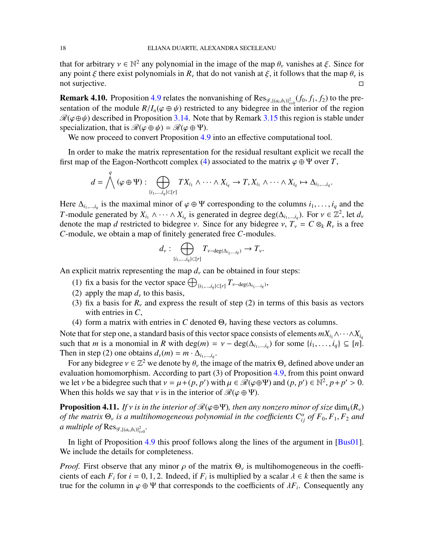that for arbitrary  $v \in \mathbb{N}^2$  any polynomial in the image of the map  $\theta_v$  vanishes at  $\xi$ . Since for any point  $\xi$  there exist polynomials in  $R_\nu$  that do not vanish at  $\xi$ , it follows that the map  $\theta_\nu$  is not surjective.

<span id="page-17-1"></span>**Remark 4.10.** Proposition [4.9](#page-16-1) relates the nonvanishing of  $\text{Res}_{\mathscr{G}, \{(a_i, b_i)\}_{i=0}^2}(f_0, f_1, f_2)$  to the presentation of the module  $R/I_n(\varphi \oplus \psi)$  restricted to any bidegree in the interior of the region  $\mathcal{R}(\varphi \oplus \psi)$  described in Proposition [3.14.](#page-11-0) Note that by Remark [3.15](#page-12-1) this region is stable under specialization, that is  $\mathcal{R}(\varphi \oplus \psi) = \mathcal{R}(\varphi \oplus \Psi)$ .

We now proceed to convert Proposition [4.9](#page-16-1) into an effective computational tool.

In order to make the matrix representation for the residual resultant explicit we recall the first map of the Eagon-Northcott complex [\(4\)](#page-10-0) associated to the matrix  $\varphi \oplus \Psi$  over *T*,

$$
d=\bigwedge^q(\varphi\oplus\Psi):\bigoplus_{\{i_1,\dots,i_q\}\subset [r]}TX_{i_1}\wedge\cdots\wedge X_{i_q}\to T, X_{i_1}\wedge\cdots\wedge X_{i_q}\mapsto \Delta_{i_1,\dots,i_q}.
$$

Here  $\Delta_{i_1,\dots,i_q}$  is the maximal minor of  $\varphi \oplus \Psi$  corresponding to the columns  $i_1,\dots,i_q$  and the *T*-module generated by  $X_{i_1} \wedge \cdots \wedge X_{i_q}$  is generated in degree deg( $\Delta_{i_1,\dots,i_q}$ ). For  $v \in \mathbb{Z}^2$ , let  $d_v$ denote the map *d* restricted to bidegree *ν*. Since for any bidegree *ν*,  $T_v = C \otimes_k R_v$  is a free *C*-module, we obtain a map of finitely generated free *C*-modules.

$$
d_\nu: \bigoplus_{\{i_1,\ldots, i_q\} \subset [r]} T_{\nu-\deg(\Delta_{i_1,\ldots, i_q})} \to T_\nu.
$$

An explicit matrix representing the map  $d<sub>v</sub>$  can be obtained in four steps:

- (1) fix a basis for the vector space  $\bigoplus_{\{i_1,\dots,i_q\} \subset [r]} T_{\nu-\text{deg}(\Delta_{i_1,\dots,i_q})}$ ,
- (2) apply the map  $d<sub>v</sub>$  to this basis,
- (3) fix a basis for  $R<sub>v</sub>$  and express the result of step (2) in terms of this basis as vectors with entries in *C*,
- (4) form a matrix with entries in *C* denoted  $\Theta_{\nu}$  having these vectors as columns.

Note that for step one, a standard basis of this vector space consists of elements  $mX_{i_1} \wedge \cdots \wedge X_{i_q}$ such that *m* is a monomial in *R* with deg(*m*) =  $v - \deg(\Delta_{i_1,\dots,i_q})$  for some  $\{i_1,\dots,i_q\} \subseteq [n]$ . Then in step (2) one obtains  $d_v(m) = m \cdot \Delta_{i_1,\dots,i_q}$ .

For any bidegree  $v \in \mathbb{Z}^2$  we denote by  $\theta_v$  the image of the matrix  $\Theta_v$  defined above under an evaluation homomorphism. According to part (3) of Proposition [4.9,](#page-16-1) from this point onward we let *v* be a bidegree such that  $v = \mu + (p, p')$  with  $\mu \in \mathcal{R}(\varphi \oplus \Psi)$  and  $(p, p') \in \mathbb{N}^2$ ,  $p + p' > 0$ . When this holds we say that *v* is in the interior of  $\mathcal{R}(\varphi \oplus \Psi)$ .

<span id="page-17-0"></span>**Proposition 4.11.** *If* v *is in the interior of*  $\mathcal{R}(\varphi \oplus \Psi)$ *, then any nonzero minor of size* dim<sub>*k*</sub>( $R_v$ ) *of the matrix*  $\Theta$ <sub>*v*</sub> *is a multihomogeneous polynomial in the coefficients*  $C^{\alpha}_{ij}$  *of*  $F_0, F_1, F_2$  *and a* multiple of  $\text{Res}_{\mathscr{G}, \{(a_i,b_i)\}_{i=0}^2}$ .

In light of Proposition [4.9](#page-16-1) this proof follows along the lines of the argument in [\[Bus01\]](#page-28-1). We include the details for completeness.

*Proof.* First observe that any minor  $\rho$  of the matrix  $\Theta_{\nu}$  is multihomogeneous in the coefficients of each  $F_i$  for  $i = 0, 1, 2$ . Indeed, if  $F_i$  is multiplied by a scalar  $\lambda \in k$  then the same is true for the column in  $\varphi \oplus \Psi$  that corresponds to the coefficients of  $\lambda F_i$ . Consequently any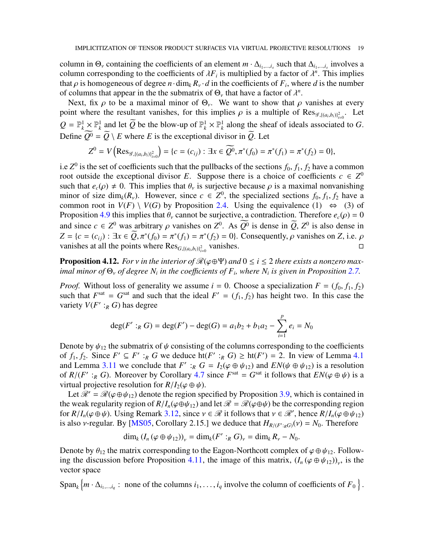column in  $\Theta_{\nu}$  containing the coefficients of an element  $m \cdot \Delta_{i_1,...,i_s}$  such that  $\Delta_{i_1,...,i_s}$  involves a column corresponding to the coefficients of  $\lambda F_i$  is multiplied by a factor of  $\lambda^n$ . This implies that  $\rho$  is homogeneous of degree  $n \cdot \dim_k R_v \cdot d$  in the coefficients of  $F_i$ , where  $d$  is the number of columns that appear in the the submatrix of  $\Theta_{\nu}$  that have a factor of  $\lambda^{n}$ .

Next, fix  $\rho$  to be a maximal minor of  $\Theta_{\nu}$ . We want to show that  $\rho$  vanishes at every point where the resultant vanishes, for this implies  $\rho$  is a multiple of Res<sub> $\mathscr{G}, \{(a_i, b_i)\}_{i=0}^2$ . Let</sub>  $Q = \mathbb{P}_k^1 \times \mathbb{P}_k^1$  and let  $\widetilde{Q}$  be the blow-up of  $\mathbb{P}_k^1 \times \mathbb{P}_k^1$  along the sheaf of ideals associated to *G*. Define  $\widetilde{Q}^0 = \widetilde{Q} \setminus E$  where *E* is the exceptional divisor in  $\widetilde{Q}$ . Let

$$
Z^{0} = V\left(\operatorname{Res}_{\mathscr{G},\{(a_{i},b_{i})\}_{i=0}^{2}}\right) = \{c = (c_{ij}) : \exists x \in \widetilde{Q^{0}}, \pi^{*}(f_{0}) = \pi^{*}(f_{1}) = \pi^{*}(f_{2}) = 0\},\
$$

i.e  $Z^0$  is the set of coefficients such that the pullbacks of the sections  $f_0, f_1, f_2$  have a common root outside the exceptional divisor *E*. Suppose there is a choice of coefficients  $c \in Z^0$ such that  $e_c(\rho) \neq 0$ . This implies that  $\theta_\nu$  is surjective because  $\rho$  is a maximal nonvanishing minor of size  $\dim_k(R_v)$ . However, since  $c \in Z^0$ , the specialized sections  $f_0, f_1, f_2$  have a common root in  $V(F) \setminus V(G)$  by Proposition [2.4.](#page-3-0) Using the equivalence (1)  $\Leftrightarrow$  (3) of Proposition [4.9](#page-16-1) this implies that  $\theta_{\nu}$  cannot be surjective, a contradiction. Therefore  $e_c(\rho) = 0$ and since  $c \in Z^0$  was arbitrary  $\rho$  vanishes on  $Z^0$ . As  $Q^0$  is dense in  $\tilde{Q}$ ,  $Z^0$  is also dense in  $Z = \{c = (c_{ij}) : \exists x \in Q, \pi^*(f_0) = \pi^*(f_1) = \pi^*(f_2) = 0\}.$  Consequently,  $\rho$  vanishes on *Z*, i.e.  $\rho$ vanishes at all the points where  $\text{Res}_{G, \{(a_i, b_i)\}_{i=0}^2}$  vanishes.

<span id="page-18-0"></span>**Proposition 4.12.** *For v in the interior of*  $\mathcal{R}(\varphi \oplus \Psi)$  *and*  $0 \le i \le 2$  *there exists a nonzero maximal minor of*  $\Theta$ <sub>*v</sub> of degree*  $N$ <sup>*i*</sup> *in the coefficients of*  $F$ <sup>*<i>i*</sup>, where  $N$ <sup>*i*</sup> *is given in Proposition* [2.7.](#page-5-0)</sub></sup>

*Proof.* Without loss of generality we assume  $i = 0$ . Choose a specialization  $F = (f_0, f_1, f_2)$ such that  $F<sup>sat</sup> = G<sup>sat</sup>$  and such that the ideal  $F' = (f_1, f_2)$  has height two. In this case the variety  $V(F' :_R G)$  has degree

$$
\deg(F':_RG) = \deg(F') - \deg(G) = a_1b_2 + b_1a_2 - \sum_{i=1}^p e_i = N_0
$$

Denote by  $\psi_{12}$  the submatrix of  $\psi$  consisting of the columns corresponding to the coefficients of  $f_1, f_2$ . Since  $F' \subseteq F' :_R G$  we deduce  $h(F' :_R G) \geq h(f') = 2$ . In view of Lemma [4.1](#page-13-1) and Lemma [3.11](#page-10-2) we conclude that  $F'$ :  $R G = I_2(\varphi \oplus \psi_{12})$  and  $EN(\psi \oplus \psi_{12})$  is a resolution of  $R/(F' :_{R} G)$ . Moreover by Corollary [4.7](#page-15-3) since  $F<sup>sat</sup> = G<sup>sat</sup>$  it follows that  $EN(\varphi \oplus \psi)$  is a virtual projective resolution for  $R/I_2(\varphi \oplus \psi)$ .

Let  $\mathcal{R}' = \mathcal{R}(\varphi \oplus \psi_{12})$  denote the region specified by Proposition [3.9,](#page-9-1) which is contained in the weak regularity region of  $R/I_n(\varphi \oplus \psi_{12})$  and let  $\mathcal{R} = \mathcal{R}(\varphi \oplus \psi)$  be the corresponding region for  $R/I_n(\varphi \oplus \psi)$ . Using Remark [3.12,](#page-10-3) since  $v \in \mathcal{R}$  it follows that  $v \in \mathcal{R}'$ , hence  $R/I_n(\varphi \oplus \psi_{12})$ is also *v*-regular. By [\[MS05,](#page-29-14) Corollary 2.15.] we deduce that  $H_{R/(F':R)}(v) = N_0$ . Therefore

$$
\dim_k (I_n(\varphi \oplus \psi_{12}))_v = \dim_k (F' :_R G)_v = \dim_k R_v - N_0.
$$

Denote by  $\theta_{12}$  the matrix corresponding to the Eagon-Northcott complex of  $\varphi \oplus \psi_{12}$ . Follow-ing the discussion before Proposition [4.11,](#page-17-0) the image of this matrix,  $(I_n(\varphi \oplus \psi_{12}))_y$ , is the vector space

Span<sub>*k*</sub>  $\{m \cdot \Delta_{i_1,\dots,i_q}: \text{ none of the columns } i_1,\dots,i_q \text{ involve the column of coefficients of } F_0 \}.$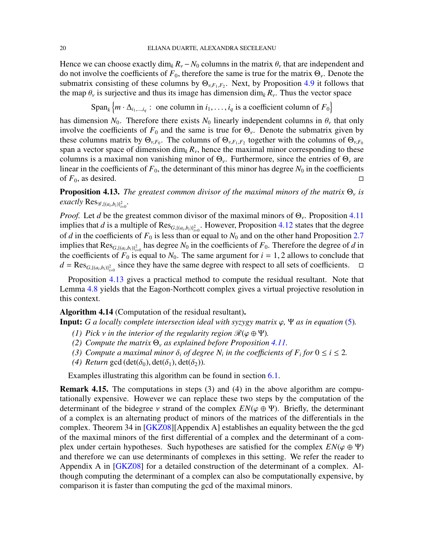Hence we can choose exactly dim<sub>k</sub>  $R_v - N_0$  columns in the matrix  $\theta_v$  that are independent and do not involve the coefficients of  $F_0$ , therefore the same is true for the matrix  $\Theta_{\nu}$ . Denote the submatrix consisting of these columns by  $\Theta_{v,F_1,F_2}$ . Next, by Proposition [4.9](#page-16-1) it follows that the map  $\theta_{\nu}$  is surjective and thus its image has dimension dim<sub>k</sub>  $R_{\nu}$ . Thus the vector space

$$
\mathrm{Span}_k \left\{ m \cdot \Delta_{i_1,\dots,i_q} : \text{ one column in } i_1,\dots,i_q \text{ is a coefficient column of } F_0 \right\}
$$

has dimension  $N_0$ . Therefore there exists  $N_0$  linearly independent columns in  $\theta_\nu$  that only involve the coefficients of  $F_0$  and the same is true for  $\Theta_{\nu}$ . Denote the submatrix given by these columns matrix by  $\Theta_{v,F_0}$ . The columns of  $\Theta_{v,F_1,F_2}$  together with the columns of  $\Theta_{v,F_0}$ span a vector space of dimension  $\dim_k R_\nu$ , hence the maximal minor corresponding to these columns is a maximal non vanishing minor of  $\Theta_{\nu}$ . Furthermore, since the entries of  $\Theta_{\nu}$  are linear in the coefficients of  $F_0$ , the determinant of this minor has degree  $N_0$  in the coefficients of  $F_0$ , as desired.

<span id="page-19-1"></span>**Proposition 4.13.** *The greatest common divisor of the maximal minors of the matrix*  $\Theta_{\nu}$  *is*  $\epsilon$ *xactly*  $\text{Res}_{\mathscr{G}, \{(a_i,b_i)\}_{i=0}^2}$ .

*Proof.* Let *d* be the greatest common divisor of the maximal minors of  $\Theta_{\nu}$ . Proposition [4.11](#page-17-0) implies that *d* is a multiple of  $\text{Res}_{G, \{(a_i, b_i)\}_{i=0}^2}$ . However, Proposition [4.12](#page-18-0) states that the degree of *d* in the coefficients of  $F_0$  is less than or equal to  $N_0$  and on the other hand Proposition [2.7](#page-5-0) implies that  $\text{Res}_{G, \{(a_i, b_i)\}_{i=0}^2}$  has degree  $N_0$  in the coefficients of  $F_0$ . Therefore the degree of *d* in the coefficients of  $F_0$  is equal to  $N_0$ . The same argument for  $i = 1, 2$  allows to conclude that  $d = \text{Res}_{G, \{(a_i, b_i)\}_{i=0}^2}$  since they have the same degree with respect to all sets of coefficients.  $\Box$ 

Proposition [4.13](#page-19-1) gives a practical method to compute the residual resultant. Note that Lemma [4.8](#page-16-0) yields that the Eagon-Northcott complex gives a virtual projective resolution in this context.

# <span id="page-19-0"></span>Algorithm 4.14 (Computation of the residual resultant).

**Input:** *G a locally complete intersection ideal with syzygy matrix*  $\varphi$ ,  $\Psi$  *as in equation* [\(5\)](#page-12-2).

- *(1) Pick v in the interior of the regularity region*  $\mathcal{R}(\varphi \oplus \Psi)$ *.*
- *(2) Compute the matrix* Θ<sup>ν</sup> *as explained before Proposition [4.11.](#page-17-0)*
- *(3)* Compute a maximal minor  $\delta_i$  of degree  $N_i$  in the coefficients of  $F_i$  for  $0 \le i \le 2$ .
- *(4) Return* gcd (det( $\delta_0$ ), det( $\delta_1$ ), det( $\delta_2$ )).

Examples illustrating this algorithm can be found in section [6.1.](#page-23-1)

<span id="page-19-2"></span>Remark 4.15. The computations in steps (3) and (4) in the above algorithm are computationally expensive. However we can replace these two steps by the computation of the determinant of the bidegree  $\nu$  strand of the complex  $EN(\varphi \oplus \Psi)$ . Briefly, the determinant of a complex is an alternating product of minors of the matrices of the differentials in the complex. Theorem 34 in [\[GKZ08\]](#page-29-4)[Appendix A] establishes an equality between the the gcd of the maximal minors of the first differential of a complex and the determinant of a complex under certain hypotheses. Such hypotheses are satisfied for the complex  $EN(\varphi \oplus \Psi)$ and therefore we can use determinants of complexes in this setting. We refer the reader to Appendix A in [\[GKZ08\]](#page-29-4) for a detailed construction of the determinant of a complex. Although computing the determinant of a complex can also be computationally expensive, by comparison it is faster than computing the gcd of the maximal minors.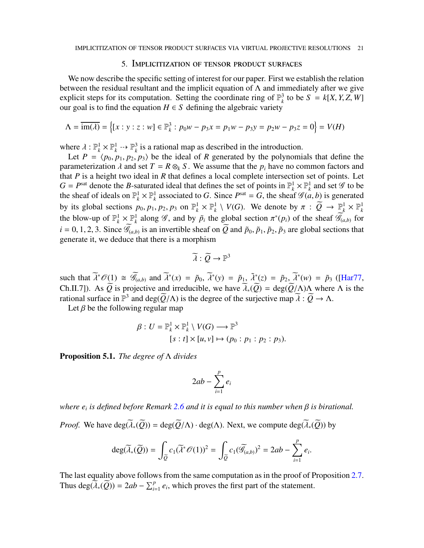### 5. Implicitization of tensor product surfaces

<span id="page-20-0"></span>We now describe the specific setting of interest for our paper. First we establish the relation between the residual resultant and the implicit equation of  $\Lambda$  and immediately after we give explicit steps for its computation. Setting the coordinate ring of  $\mathbb{P}_k^3$  $\frac{3}{k}$  to be *S* =  $k[X, Y, Z, W]$ our goal is to find the equation  $H \in S$  defining the algebraic variety

$$
\Lambda = \overline{\text{im}(\lambda)} = \left\{ [x : y : z : w] \in \mathbb{P}_{k}^{3} : p_{0}w - p_{3}x = p_{1}w - p_{3}y = p_{2}w - p_{3}z = 0 \right\} = V(H)
$$

where  $\lambda : \mathbb{P}_k^1 \times \mathbb{P}_k^1 \longrightarrow \mathbb{P}_k^3$  $\frac{3}{k}$  is a rational map as described in the introduction.

Let  $P = \langle p_0, p_1, p_2, p_3 \rangle$  be the ideal of *R* generated by the polynomials that define the parameterization  $\lambda$  and set  $T = R \otimes_k S$ . We assume that the  $p_i$  have no common factors and that *P* is a height two ideal in *R* that defines a local complete intersection set of points. Let  $G = P<sup>sat</sup>$  denote the *B*-saturated ideal that defines the set of points in  $\mathbb{P}_k^1 \times \mathbb{P}_k^1$  and set  $\mathscr G$  to be the sheaf of ideals on  $\mathbb{P}_k^1 \times \mathbb{P}_k^1$ <sup>1</sup><sub>*k*</sub> associated to *G*. Since  $P<sup>sat</sup> = G$ , the sheaf  $\mathcal{G}(a, b)$  is generated by its global sections  $p_0, p_1, p_2, p_3$  on  $\mathbb{P}_k^1 \times \mathbb{P}_k^1 \setminus V(G)$ . We denote by  $\pi : \overline{Q} \to \mathbb{P}_k^1 \times \mathbb{P}_k^1$ the blow-up of  $\mathbb{P}_k^1 \times \mathbb{P}_k^1$ <sup>1</sup><sub>*k*</sub> along  $\mathscr G$ , and by  $\tilde{p}_i$  the global section  $\pi^*(p_i)$  of the sheaf  $\widetilde{\mathscr G}_{(a,b)}$  for  $i = 0, 1, 2, 3$ . Since  $\widetilde{\mathscr{G}}_{(a,b)}$  is an invertible sheaf on  $\widetilde{Q}$  and  $\widetilde{p}_0, \widetilde{p}_1, \widetilde{p}_2, \widetilde{p}_3$  are global sections that generate it, we deduce that there is a morphism

$$
\widetilde{\lambda}: \widetilde{Q} \to \mathbb{P}^3
$$

such that  $\widetilde{\lambda}^* \mathcal{O}(1) \cong \widetilde{\mathcal{G}}_{(a,b)}$  and  $\widetilde{\lambda}^*(x) = \widetilde{p}_0$ ,  $\widetilde{\lambda}^*(y) = \widetilde{p}_1$ ,  $\widetilde{\lambda}^*(z) = \widetilde{p}_2$ ,  $\widetilde{\lambda}^*(w) = \widetilde{p}_3$  ([\[Har77,](#page-29-7) Ch.II.7]). As  $\widetilde{Q}$  is projective and irreducible, we have  $\widetilde{\lambda}_*(\widetilde{Q}) = \deg(\widetilde{Q}/\Lambda)\Lambda$  where  $\Lambda$  is the rational surface in  $\mathbb{P}^3$  and deg( $\widetilde{Q}/\Lambda$ ) is the degree of the surjective map  $\widetilde{\lambda}: \widetilde{Q} \to \Lambda$ .

Let  $\beta$  be the following regular map

$$
\beta: U = \mathbb{P}_k^1 \times \mathbb{P}_k^1 \setminus V(G) \longrightarrow \mathbb{P}^3
$$
  
[s : t] × [u, v]  $\mapsto$  (p<sub>0</sub> : p<sub>1</sub> : p<sub>2</sub> : p<sub>3</sub>).

<span id="page-20-1"></span>Proposition 5.1. *The degree of* Λ *divides*

$$
2ab - \sum_{i=1}^p e_i
$$

*where e<sup>i</sup> is defined before Remark [2.6](#page-4-0) and it is equal to this number when* β *is birational.*

*Proof.* We have  $\text{deg}(\widetilde{\lambda}_*(\widetilde{Q})) = \text{deg}(\widetilde{Q}/\Lambda) \cdot \text{deg}(\Lambda)$ . Next, we compute  $\text{deg}(\widetilde{\lambda}_*(\widetilde{Q}))$  by

$$
\deg(\widetilde{\lambda}_*(\widetilde{Q})) = \int_{\widetilde{Q}} c_1(\widetilde{\lambda}^*\mathscr{O}(1))^2 = \int_{\widetilde{Q}} c_1(\widetilde{\mathscr{G}}_{(a,b)})^2 = 2ab - \sum_{i=1}^p e_i.
$$

The last equality above follows from the same computation as in the proof of Proposition [2.7.](#page-5-0) Thus deg( $\widetilde{A}_*(\widetilde{Q})$ ) = 2*ab* −  $\sum_{i=1}^p e_i$ , which proves the first part of the statement.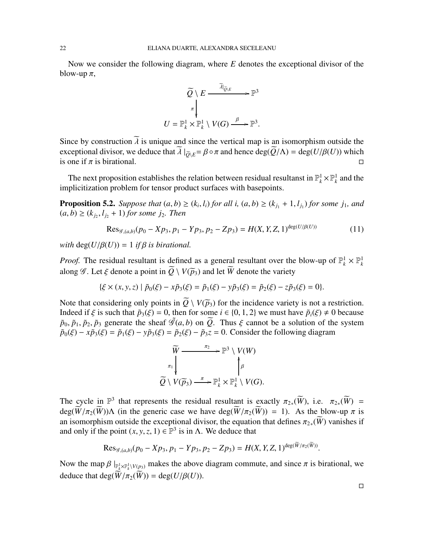Now we consider the following diagram, where *E* denotes the exceptional divisor of the blow-up  $\pi$ ,



Since by construction  $\tilde{\lambda}$  is unique and since the vertical map is an isomorphism outside the exceptional divisor, we deduce that  $\overline{\lambda}$   $|_{\overline{Q}\setminus E} = \beta \circ \pi$  and hence deg( $\overline{Q}/\Lambda$ ) = deg( $U/\beta(U)$ ) which is one if  $\pi$  is birational. is one if  $\pi$  is birational.

The next proposition establishes the relation between residual resultanst in  $\mathbb{P}_k^1 \times \mathbb{P}_k^1$  and the implicitization problem for tensor product surfaces with basepoints.

<span id="page-21-1"></span>**Proposition 5.2.** *Suppose that*  $(a, b) \ge (k_i, l_i)$  *for all i,*  $(a, b) \ge (k_{j_1} + 1, l_{j_1})$  *for some j<sub>1</sub>, and*  $(a, b) \ge (k_{j_2}, l_{j_2} + 1)$  *for some j*<sub>2</sub>*. Then* 

$$
\text{Res}_{\mathcal{G},(a,b)}(p_0 - Xp_3, p_1 - Yp_3, p_2 - Zp_3) = H(X, Y, Z, 1)^{\text{deg}(U/\beta(U))}
$$
(11)

*with*  $deg(U/\beta(U)) = 1$  *if*  $\beta$  *is birational.* 

*Proof.* The residual resultant is defined as a general resultant over the blow-up of  $\mathbb{P}_k^1 \times \mathbb{P}_k^1$ along  $\mathscr G$ . Let  $\xi$  denote a point in  $\widetilde{O} \setminus V(\widetilde{p}_3)$  and let  $\widetilde{W}$  denote the variety

$$
\{\xi \times (x, y, z) \mid \tilde{p}_0(\xi) - x\tilde{p}_3(\xi) = \tilde{p}_1(\xi) - y\tilde{p}_3(\xi) = \tilde{p}_2(\xi) - z\tilde{p}_3(\xi) = 0\}.
$$

Note that considering only points in  $\widetilde{Q} \setminus V(\widetilde{p}_3)$  for the incidence variety is not a restriction. Indeed if  $\xi$  is such that  $\tilde{p}_3(\xi) = 0$ , then for some  $i \in \{0, 1, 2\}$  we must have  $\tilde{p}_i(\xi) \neq 0$  because  $\tilde{p}_0$ ,  $\tilde{p}_1$ ,  $\tilde{p}_2$ ,  $\tilde{p}_3$  generate the sheaf  $\tilde{\mathcal{G}}(a, b)$  on  $\tilde{Q}$ . Thus  $\xi$  cannot be a solution of the system  $\tilde{p}_0(\xi) - x\tilde{p}_3(\xi) = \tilde{p}_1(\xi) - y\tilde{p}_3(\xi) = \tilde{p}_2(\xi) - \tilde{p}_3 z = 0$ . Consider the following diagram

<span id="page-21-0"></span>
$$
\widetilde{W} \xrightarrow{\pi_2} \mathbb{P}^3 \setminus V(W)
$$
\n
$$
\widetilde{Q} \setminus V(\widetilde{p}_3) \xrightarrow{\pi} \mathbb{P}_k^1 \times \mathbb{P}_k^1 \setminus V(G).
$$

The cycle in  $\mathbb{P}^3$  that represents the residual resultant is exactly  $\pi_{2*}(\widetilde{W})$ , i.e.  $\pi_{2*}(\widetilde{W})$  =  $deg(\widetilde{W}/\pi_2(\widetilde{W}))\Lambda$  (in the generic case we have  $deg(\widetilde{W}/\pi_2(\widetilde{W})) = 1$ ). As the blow-up  $\pi$  is an isomorphism outside the exceptional divisor, the equation that defines  $\pi_{2*}(W)$  vanishes if and only if the point  $(x, y, z, 1) \in \mathbb{P}^3$  is in  $\Lambda$ . We deduce that

$$
\text{Res}_{\mathscr{G},(a,b)}(p_0 - Xp_3, p_1 - Yp_3, p_2 - Zp_3) = H(X, Y, Z, 1)^{\deg(W/\pi_2(W))}.
$$

Now the map  $\beta\mid_{\mathbb{P}_k^1\times\mathbb{P}_k^1\setminus V(p_3)}$  makes the above diagram commute, and since  $\pi$  is birational, we deduce that deg( $\widetilde{W}/\pi_2(\widetilde{W})$ ) = deg( $U/\beta(U)$ ).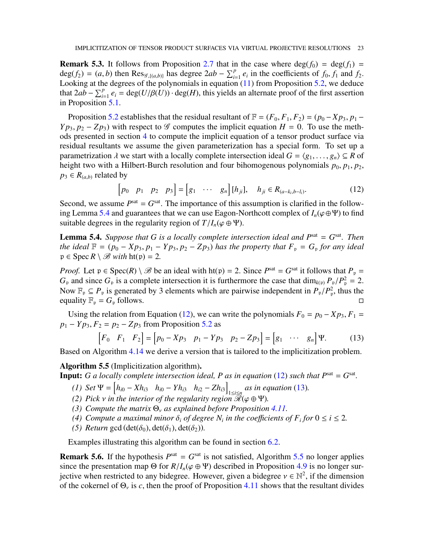**Remark 5.3.** It follows from Proposition [2.7](#page-5-0) that in the case where  $\deg(f_0) = \deg(f_1) =$  $deg(f_2) = (a, b)$  then  $Res_{\mathscr{G}, \{(a,b)\}}$  has degree  $2ab - \sum_{i=1}^p e_i$  in the coefficients of  $f_0, f_1$  and  $f_2$ . Looking at the degrees of the polynomials in equation [\(11\)](#page-21-0) from Proposition [5.2,](#page-21-1) we deduce that  $2ab - \sum_{i=1}^p e_i = \deg(U/\beta(U)) \cdot \deg(H)$ , this yields an alternate proof of the first assertion in Proposition [5.1.](#page-20-1)

Proposition [5.2](#page-21-1) establishes that the residual resultant of  $\mathbb{F} = (F_0, F_1, F_2) = (p_0 - Xp_3, p_1 -$ *Y p*<sub>3</sub>, *p*<sub>2</sub> − *Z p*<sub>3</sub>) with respect to  $\mathscr G$  computes the implicit equation *H* = 0. To use the methods presented in section [4](#page-12-0) to compute the implicit equation of a tensor product surface via residual resultants we assume the given parameterization has a special form. To set up a parametrization  $\lambda$  we start with a locally complete intersection ideal  $G = \langle g_1, \ldots, g_n \rangle \subseteq R$  of height two with a Hilbert-Burch resolution and four bihomogenous polynomials  $p_0$ ,  $p_1$ ,  $p_2$ ,  $p_3 \in R_{(a,b)}$  related by

<span id="page-22-2"></span>
$$
[p_0 \quad p_1 \quad p_2 \quad p_3] = [g_1 \quad \cdots \quad g_n] [h_{ji}], \quad h_{ji} \in R_{(a-k_i, b-l_i)}.
$$
 (12)

Second, we assume  $P<sup>sat</sup> = G<sup>sat</sup>$ . The importance of this assumption is clarified in the follow-ing Lemma [5.4](#page-22-1) and guarantees that we can use Eagon-Northcott complex of  $I_n(\varphi \oplus \Psi)$  to find suitable degrees in the regularity region of  $T/I_n(\varphi \oplus \Psi)$ .

<span id="page-22-1"></span>**Lemma 5.4.** Suppose that G is a locally complete intersection ideal and  $P<sup>sat</sup> = G<sup>sat</sup>$ . Then *the ideal*  $\mathbb{F} = (p_0 - Xp_3, p_1 - Yp_3, p_2 - Zp_3)$  *has the property that*  $F_p = G_p$  *for any ideal*  $p \in \text{Spec } R \setminus \mathcal{B}$  *with*  $\text{ht}(p) = 2$ .

*Proof.* Let  $p \in Spec(R) \setminus \mathcal{B}$  be an ideal with  $ht(p) = 2$ . Since  $P<sup>sat</sup> = G<sup>sat</sup>$  it follows that  $P_p =$  $G_p$  and since  $G_p$  is a complete intersection it is furthermore the case that dim<sub>k(p)</sub>  $P_p/P_p^2 = 2$ . Now  $\mathbb{F}_p \subseteq P_p$  is generated by 3 elements which are pairwise independent in  $P_p/P_p^2$ , thus the equality  $\mathbb{F}_p = G_p$  follows.

Using the relation from Equation [\(12\)](#page-22-2), we can write the polynomials  $F_0 = p_0 - Xp_3$ ,  $F_1 =$  $p_1 - Yp_3$ ,  $F_2 = p_2 - Zp_3$  from Proposition [5.2](#page-21-1) as

<span id="page-22-3"></span>
$$
\begin{bmatrix} F_0 & F_1 & F_2 \end{bmatrix} = \begin{bmatrix} p_0 - Xp_3 & p_1 - Yp_3 & p_2 - Zp_3 \end{bmatrix} = \begin{bmatrix} g_1 & \cdots & g_n \end{bmatrix} \Psi.
$$
 (13)

Based on Algorithm [4.14](#page-19-0) we derive a version that is tailored to the implicitization problem.

<span id="page-22-0"></span>Algorithm 5.5 (Implicitization algorithm).

**Input:** *G a locally complete intersection ideal, P as in equation* [\(12\)](#page-22-2) *such that*  $P<sup>sat</sup> = G<sup>sat</sup>$ *.* 

- $(h_{i0} Xh_{i3} \quad h_{i0} Yh_{i3} \quad h_{i2} Zh_{i3})$  $\lim_{1 \le i \le n}$  *as in equation* [\(13\)](#page-22-3)*.*
- *(2) Pick v in the interior of the regularity region*  $\mathcal{R}(\varphi \oplus \Psi)$ *.*
- *(3) Compute the matrix* Θ<sup>ν</sup> *as explained before Proposition [4.11.](#page-17-0)*
- *(4)* Compute a maximal minor  $\delta_i$  of degree  $N_i$  in the coefficients of  $F_i$  for  $0 \le i \le 2$ .
- *(5) Return* gcd (det( $\delta_0$ ), det( $\delta_1$ ), det( $\delta_2$ )).

Examples illustrating this algorithm can be found in section [6.2.](#page-25-0)

<span id="page-22-4"></span>**Remark 5.6.** If the hypothesis  $P<sup>sat</sup> = G<sup>sat</sup>$  is not satisfied, Algorithm [5.5](#page-22-0) no longer applies since the presentation map  $\Theta$  for  $R/I_n(\varphi \oplus \Psi)$  described in Proposition [4.9](#page-16-1) is no longer surjective when restricted to any bidegree. However, given a bidegree  $v \in \mathbb{N}^2$ , if the dimension of the cokernel of  $\Theta_{\nu}$  is *c*, then the proof of Proposition [4.11](#page-17-0) shows that the resultant divides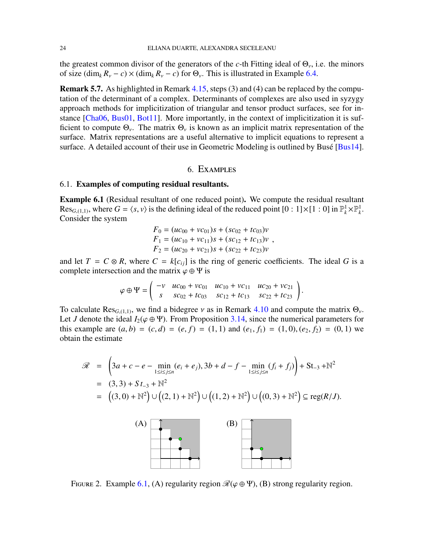the greatest common divisor of the generators of the *c*-th Fitting ideal of  $\Theta_{\nu}$ , i.e. the minors of size  $(\dim_k R_v - c) \times (\dim_k R_v - c)$  for  $\Theta_v$ . This is illustrated in Example [6.4.](#page-26-0)

Remark 5.7. As highlighted in Remark [4.15,](#page-19-2) steps (3) and (4) can be replaced by the computation of the determinant of a complex. Determinants of complexes are also used in syzygy approach methods for implicitization of triangular and tensor product surfaces, see for in-stance [\[Cha06,](#page-29-18) [Bus01,](#page-28-1) [Bot11\]](#page-28-2). More importantly, in the context of implicitization it is sufficient to compute  $\Theta_{\nu}$ . The matrix  $\Theta_{\nu}$  is known as an implicit matrix representation of the surface. Matrix representations are a useful alternative to implicit equations to represent a surface. A detailed account of their use in Geometric Modeling is outlined by Busé [\[Bus14\]](#page-28-4).

# 6. Examples

# <span id="page-23-1"></span><span id="page-23-0"></span>6.1. Examples of computing residual resultants.

<span id="page-23-2"></span>Example 6.1 (Residual resultant of one reduced point). We compute the residual resultant Res<sub>*G*,(1,1)</sub>, where  $G = \langle s, v \rangle$  is the defining ideal of the reduced point  $[0 : 1] \times [1 : 0]$  in  $\mathbb{P}_k^1 \times \mathbb{P}_k^1$ . Consider the system

$$
F_0 = (uc_{00} + vc_{01})s + (sc_{02} + tc_{03})v
$$
  
\n
$$
F_1 = (uc_{10} + vc_{11})s + (sc_{12} + tc_{13})v
$$
  
\n
$$
F_2 = (uc_{20} + vc_{21})s + (sc_{22} + tc_{23})v
$$

and let  $T = C \otimes R$ , where  $C = k[c_{ij}]$  is the ring of generic coefficients. The ideal G is a complete intersection and the matrix  $\varphi \oplus \Psi$  is

$$
\varphi \oplus \Psi = \left( \begin{array}{ccc} -v & uc_{00} + vc_{01} & uc_{10} + vc_{11} & uc_{20} + vc_{21} \\ s & sc_{02} + tc_{03} & sc_{12} + tc_{13} & sc_{22} + tc_{23} \end{array} \right).
$$

To calculate  $\text{Res}_{G,(1,1)}$ , we find a bidegree *v* as in Remark [4.10](#page-17-1) and compute the matrix  $\Theta_{\nu}$ . Let *J* denote the ideal  $I_2(\varphi \oplus \Psi)$ . From Proposition [3.14,](#page-11-0) since the numerical parameters for this example are  $(a, b) = (c, d) = (e, f) = (1, 1)$  and  $(e_1, f_1) = (1, 0), (e_2, f_2) = (0, 1)$  we obtain the estimate

$$
\mathcal{R} = \left(3a + c - e - \min_{1 \le i \le j \le n} (e_i + e_j), 3b + d - f - \min_{1 \le i \le j \le n} (f_i + f_j) \right) + \text{St}_{-3} + \mathbb{N}^2
$$
  
= (3, 3) + St\_{-3} + \mathbb{N}^2  
= ((3, 0) + \mathbb{N}^2) \cup ((2, 1) + \mathbb{N}^2) \cup ((1, 2) + \mathbb{N}^2) \cup ((0, 3) + \mathbb{N}^2) \subseteq \text{reg}(R/J).



FIGURE 2. Example [6.1,](#page-23-2) (A) regularity region  $\mathcal{R}(\varphi \oplus \Psi)$ , (B) strong regularity region.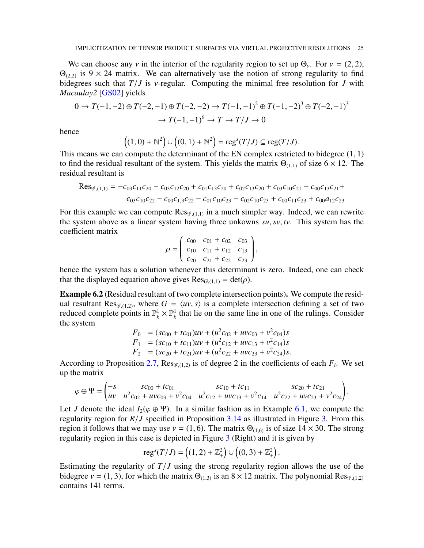We can choose any v in the interior of the regularity region to set up  $\Theta_{\nu}$ . For  $\nu = (2, 2)$ ,  $\Theta_{(2,2)}$  is 9 × 24 matrix. We can alternatively use the notion of strong regularity to find bidegrees such that  $T/J$  is *v*-regular. Computing the minimal free resolution for *J* with *Macaulay2* [\[GS02\]](#page-29-19) yields

$$
0 \to T(-1, -2) \oplus T(-2, -1) \oplus T(-2, -2) \to T(-1, -1)^2 \oplus T(-1, -2)^3 \oplus T(-2, -1)^3
$$

$$
\to T(-1, -1)^6 \to T \to T/J \to 0
$$

hence

$$
((1,0)+\mathbb{N}^2)\cup((0,1)+\mathbb{N}^2)=\mathrm{reg}^s(T/J)\subseteq\mathrm{reg}(T/J).
$$

This means we can compute the determinant of the EN complex restricted to bidegree  $(1, 1)$ to find the residual resultant of the system. This yields the matrix  $\Theta_{(1,1)}$  of size 6 × 12. The residual resultant is

$$
\text{Res}_{\mathcal{G},(1,1)} = -c_{03}c_{11}c_{20} - c_{03}c_{12}c_{20} + c_{01}c_{13}c_{20} + c_{02}c_{13}c_{20} + c_{03}c_{10}c_{21} - c_{00}c_{13}c_{21} + c_{03}c_{10}c_{22} - c_{00}c_{13}c_{22} - c_{01}c_{10}c_{23} - c_{02}c_{10}c_{23} + c_{00}c_{11}c_{23} + c_{00}a_{12}c_{23}
$$

For this example we can compute  $\text{Res}_{\mathscr{G},(1,1)}$  in a much simpler way. Indeed, we can rewrite the system above as a linear system having three unkowns *su*, *sv*, *tv*. This system has the coefficient matrix

$$
\rho = \begin{pmatrix} c_{00} & c_{01} + c_{02} & c_{03} \\ c_{10} & c_{11} + c_{12} & c_{13} \\ c_{20} & c_{21} + c_{22} & c_{23} \end{pmatrix},
$$

hence the system has a solution whenever this determinant is zero. Indeed, one can check that the displayed equation above gives  $\text{Res}_{G,(1,1)} = \text{det}(\rho)$ .

<span id="page-24-0"></span>Example 6.2 (Residual resultant of two complete intersection points). We compute the residual resultant Res<sub> $\mathscr{G}_{(1,2)}$ , where  $G = \langle uv, s \rangle$  is a complete intersection defining a set of two</sub> reduced complete points in  $\mathbb{P}_k^1 \times \mathbb{P}_k^1$  that lie on the same line in one of the rulings. Consider the system

$$
F_0 = (sc_{00} + tc_{01})uv + (u^2c_{02} + uvc_{03} + v^2c_{04})s
$$
  
\n
$$
F_1 = (sc_{10} + tc_{11})uv + (u^2c_{12} + uvc_{13} + v^2c_{14})s
$$
  
\n
$$
F_2 = (sc_{20} + tc_{21})uv + (u^2c_{22} + uvc_{23} + v^2c_{24})s.
$$

According to Proposition [2.7,](#page-5-0)  $\text{Res}_{\mathscr{G}(1,2)}$  is of degree 2 in the coefficients of each  $F_i$ . We set up the matrix

$$
\varphi \oplus \Psi = \begin{pmatrix} -s & sc_{00} + tc_{01} & sc_{10} + tc_{11} & sc_{20} + tc_{21} \\ uv & u^2c_{02} + uvc_{03} + v^2c_{04} & u^2c_{12} + uvc_{13} + v^2c_{14} & u^2c_{22} + uvc_{23} + v^2c_{24} \end{pmatrix}.
$$

Let *J* denote the ideal  $I_2(\varphi \oplus \Psi)$ . In a similar fashion as in Example [6.1,](#page-23-2) we compute the regularity region for *R*/*J* specified in Proposition [3.14](#page-11-0) as illustrated in Figure [3.](#page-25-1) From this region it follows that we may use  $v = (1, 6)$ . The matrix  $\Theta_{(1,6)}$  is of size  $14 \times 30$ . The strong regularity region in this case is depicted in Figure [3](#page-25-1) (Right) and it is given by

$$
\mathrm{reg}^s(T/J) = \left( (1,2) + \mathbb{Z}_+^2 \right) \cup \left( (0,3) + \mathbb{Z}_+^2 \right).
$$

Estimating the regularity of  $T/J$  using the strong regularity region allows the use of the bidegree  $v = (1, 3)$ , for which the matrix  $\Theta_{(1,3)}$  is an  $8 \times 12$  matrix. The polynomial Res<sub>g,(1,2)</sub> contains 141 terms.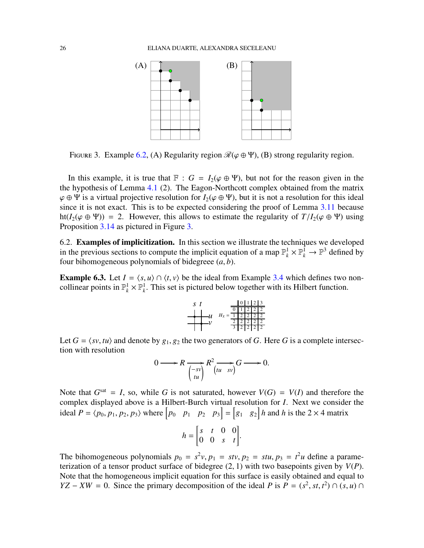

<span id="page-25-1"></span>FIGURE 3. Example [6.2,](#page-24-0) (A) Regularity region  $\mathcal{R}(\varphi \oplus \Psi)$ , (B) strong regularity region.

In this example, it is true that  $\mathbb{F}$  :  $G = I_2(\varphi \oplus \Psi)$ , but not for the reason given in the the hypothesis of Lemma [4.1](#page-13-1) (2). The Eagon-Northcott complex obtained from the matrix  $\varphi \oplus \Psi$  is a virtual projective resolution for  $I_2(\varphi \oplus \Psi)$ , but it is not a resolution for this ideal since it is not exact. This is to be expected considering the proof of Lemma [3.11](#page-10-2) because ht( $I_2(\varphi \oplus \Psi)$ ) = 2. However, this allows to estimate the regularity of  $T/I_2(\varphi \oplus \Psi)$  using Proposition [3.14](#page-11-0) as pictured in Figure [3.](#page-25-1)

<span id="page-25-0"></span>6.2. Examples of implicitization. In this section we illustrate the techniques we developed in the previous sections to compute the implicit equation of a map  $\mathbb{P}_k^1 \times \mathbb{P}_k^1 \to \mathbb{P}^3$  defined by four bihomogeneous polynomials of bidegreee (*a*, *b*).

<span id="page-25-2"></span>**Example 6.3.** Let  $I = \langle s, u \rangle \cap \langle t, v \rangle$  be the ideal from Example [3.4](#page-7-4) which defines two noncollinear points in  $\mathbb{P}_k^1 \times \mathbb{P}_k^1$ . This set is pictured below together with its Hilbert function.

$$
s \t\t\t t
$$
\n
$$
u \t\t\t H_X = \frac{\frac{\|0\|1\|2\|3}{\|0\|1\|2\|2\|2}}{\frac{1}{2}\frac{2}{2}\frac{2}{2}\frac{2}{2}\frac{2}{2}}
$$
\n
$$
v
$$

Let  $G = \langle sv, tu \rangle$  and denote by  $g_1, g_2$  the two generators of *G*. Here *G* is a complete intersection with resolution

$$
0 \longrightarrow R \underset{\begin{pmatrix} -sv \\ tu \end{pmatrix}}{\longrightarrow} R^2 \underset{\begin{pmatrix} tu & sv \end{pmatrix}}{\longrightarrow} G \longrightarrow 0.
$$

Note that  $G<sup>sat</sup> = I$ , so, while G is not saturated, however  $V(G) = V(I)$  and therefore the complex displayed above is a Hilbert-Burch virtual resolution for *I*. Next we consider the ideal  $P = \langle p_0, p_1, p_2, p_3 \rangle$  where  $\begin{bmatrix} p_0 & p_1 & p_2 & p_3 \end{bmatrix} = \begin{bmatrix} g_1 & g_2 \end{bmatrix} h$  and h is the 2 × 4 matrix

$$
h = \begin{bmatrix} s & t & 0 & 0 \\ 0 & 0 & s & t \end{bmatrix}.
$$

The bihomogeneous polynomials  $p_0 = s^2 v$ ,  $p_1 = stv$ ,  $p_2 = stu$ ,  $p_3 = t^2 u$  define a parameterization of a tensor product surface of bidegree (2, 1) with two basepoints given by *V*(*P*). Note that the homogeneous implicit equation for this surface is easily obtained and equal to *YZ* − *XW* = 0. Since the primary decomposition of the ideal *P* is  $P = (s^2, st, t^2) \cap (s, u) \cap$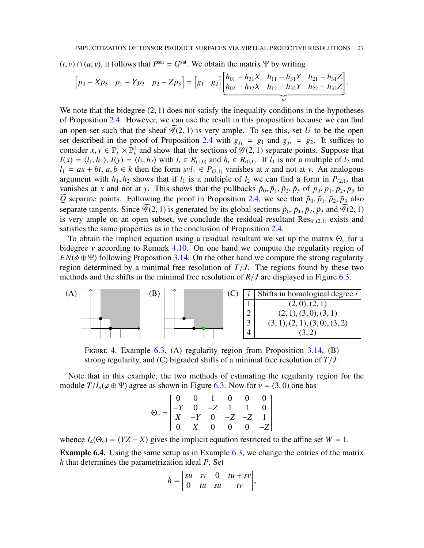$(t, v) \cap (u, v)$ , it follows that  $P<sup>sat</sup> = G<sup>sat</sup>$ . We obtain the matrix Ψ by writing

$$
\begin{bmatrix} p_0 - Xp_3 & p_1 - Yp_3 & p_2 - Zp_3 \end{bmatrix} = \begin{bmatrix} g_1 & g_2 \end{bmatrix} \underbrace{\begin{bmatrix} h_{01} - h_{31}X & h_{11} - h_{31}Y & h_{21} - h_{31}Z \\ h_{02} - h_{32}X & h_{12} - h_{32}Y & h_{22} - h_{32}Z \end{bmatrix}}_{\Psi}.
$$

We note that the bidegree  $(2, 1)$  does not satisfy the inequality conditions in the hypotheses of Proposition [2.4.](#page-3-0) However, we can use the result in this proposition because we can find an open set such that the sheaf  $\mathcal{G}(2, 1)$  is very ample. To see this, set *U* to be the open set described in the proof of Proposition [2.4](#page-3-0) with  $g_{j_1} = g_1$  and  $g_{j_2} = g_2$ . It suffices to consider  $x, y \in \mathbb{P}_k^1 \times \mathbb{P}_k^1$  $\frac{1}{k}$  and show that the sections of  $\mathscr{G}(2, 1)$  separate points. Suppose that  $I(x) = \langle l_1, h_2 \rangle$ ,  $I(y) = \langle l_2, h_2 \rangle$  with  $l_i \in R_{(1,0)}$  and  $h_i \in R_{(0,1)}$ . If  $l_1$  is not a multiple of  $l_2$  and *l*<sub>1</sub> =  $as + bt, a, b ∈ k$  then the form  $svl_1 ∈ P_{(2,1)}$  vanishes at *x* and not at *y*. An analogous argument with  $h_1, h_2$  shows that if  $l_1$  is a multiple of  $l_2$  we can find a form in  $P_{(2,1)}$  that vanishes at *x* and not at *y*. This shows that the pullbacks  $\tilde{p}_0$ ,  $\tilde{p}_1$ ,  $\tilde{p}_2$ ,  $\tilde{p}_3$  of  $p_0$ ,  $p_1$ ,  $p_2$ ,  $p_3$  to  $\tilde{Q}$  separate points. Following the proof in Proposition [2.4,](#page-3-0) we see that  $\tilde{p}_0$ ,  $\tilde{p}_1$ ,  $\tilde{p}_2$ ,  $\tilde{p}_3$  also separate tangents. Since  $\widetilde{\mathcal{G}}(2, 1)$  is generated by its global sections  $\tilde{p}_0$ ,  $\tilde{p}_1$ ,  $\tilde{p}_2$ ,  $\tilde{p}_3$  and  $\widetilde{\mathcal{G}}(2, 1)$ is very ample on an open subset, we conclude the residual resultant  $\text{Res}_{\mathscr{G},(2,1)}$  exists and satisfies the same properties as in the conclusion of Proposition [2.4.](#page-3-0)

To obtain the implicit equation using a residual resultant we set up the matrix  $\Theta_{\nu}$  for a bidegree *v* according to Remark [4.10.](#page-17-1) On one hand we compute the regularity region of  $EN(\phi \oplus \Psi)$  following Proposition [3.14.](#page-11-0) On the other hand we compute the strong regularity region determined by a minimal free resolution of  $T/J$ . The regions found by these two methods and the shifts in the minimal free resolution of  $R/J$  are displayed in Figure [6.3.](#page-25-2)



FIGURE 4. Example [6.3,](#page-25-2) (A) regularity region from Proposition [3.14,](#page-11-0) (B) strong regularity, and (C) bigraded shifts of a minimal free resolution of *T*/*J*.

Note that in this example, the two methods of estimating the regularity region for the module  $T/I_n(\varphi \oplus \Psi)$  agree as shown in Figure [6.3.](#page-25-2) Now for  $v = (3, 0)$  one has

$$
\Theta_{\nu} = \begin{bmatrix}\n0 & 0 & 1 & 0 & 0 & 0 \\
-Y & 0 & -Z & 1 & 1 & 0 \\
X & -Y & 0 & -Z & -Z & 1 \\
0 & X & 0 & 0 & 0 & -Z\n\end{bmatrix}
$$

whence  $I_4(\Theta_v) = \langle YZ - X \rangle$  gives the implicit equation restricted to the affine set  $W = 1$ .

<span id="page-26-0"></span>Example 6.4. Using the same setup as in Example [6.3,](#page-25-2) we change the entries of the matrix *h* that determines the parametrization ideal *P*. Set

$$
h = \begin{bmatrix} su & sv & 0 & tu + sv \\ 0 & tu & su & tv \end{bmatrix},
$$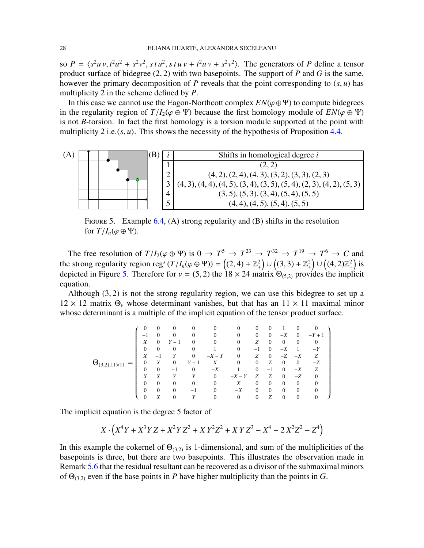so  $P = \langle s^2 u v, t^2 u^2 + s^2 v^2, s t u^2, s t u v + t^2 u v + s^2 v^2 \rangle$ . The generators of *P* define a tensor product surface of bidegree (2, 2) with two basepoints. The support of *P* and *G* is the same, however the primary decomposition of *P* reveals that the point corresponding to (*s*, *u*) has multiplicity 2 in the scheme defined by *P*.

In this case we cannot use the Eagon-Northcott complex  $EN(\varphi \oplus \Psi)$  to compute bidegrees in the regularity region of  $T/I_2(\varphi \oplus \Psi)$  because the first homology module of  $EN(\varphi \oplus \Psi)$ is not *B*-torsion. In fact the first homology is a torsion module supported at the point with multiplicity 2 i.e. $\langle s, u \rangle$ . This shows the necessity of the hypothesis of Proposition [4.4.](#page-14-0)



<span id="page-27-0"></span>FIGURE 5. Example [6.4,](#page-26-0) (A) strong regularity and (B) shifts in the resolution for  $T/I_n(\varphi \oplus \Psi)$ .

The free resolution of  $T/I_2(\varphi \oplus \Psi)$  is  $0 \to T^5 \to T^{23} \to T^{32} \to T^{19} \to T^6 \to C$  and the strong regularity region reg<sup>s</sup>  $(T/I_n(\varphi \oplus \Psi)) = ((2, 4) + \mathbb{Z}_+^2)$ ∪<br>∶  $((3, 3) + \mathbb{Z}_{+}^{2})$ ∪  $((4,2)\mathbb{Z}_{+}^{2})$  is depicted in Figure [5.](#page-27-0) Therefore for  $v = (5, 2)$  the 18 × 24 matrix  $\Theta_{(5, 2)}$  provides the implicit equation.

Although (3, 2) is not the strong regularity region, we can use this bidegree to set up a  $12 \times 12$  matrix  $\Theta_{\nu}$  whose determinant vanishes, but that has an  $11 \times 11$  maximal minor whose determinant is a multiple of the implicit equation of the tensor product surface.

|                     | $\theta$                     | $\theta$                 | $\theta$ | $\theta$                 | 0            | $\Omega$       | 0              |          |              | 0            |          |
|---------------------|------------------------------|--------------------------|----------|--------------------------|--------------|----------------|----------------|----------|--------------|--------------|----------|
|                     | $\qquad \qquad \blacksquare$ |                          | $\Omega$ | $\Omega$                 | $\Omega$     | $\Omega$       | $\mathbf{0}$   | $\Omega$ | $-X$         | $\theta$     | $-Y + 1$ |
|                     | X                            | $\Omega$                 | $\equiv$ |                          |              | $\theta$       | Ζ              | $\Omega$ | $\theta$     | 0            | 0        |
|                     | $\mathbf{0}$                 | $\theta$                 | $\theta$ | $\Omega$                 |              | $\theta$       | $-1$           | $\Omega$ | $-X$         |              | $-Y$     |
|                     | X                            | $\overline{\phantom{0}}$ |          | $\Omega$                 | $-X-Y$       | $\Omega$       | Ζ              | $\Omega$ | $-Z$         | $-X$         | Ζ        |
| $(\mathbf{H})$<br>= | $\mathbf{0}$                 | Χ                        | 0        | $-1$                     | X            | $\theta$       | $\overline{0}$ | Z        | $\theta$     | $\mathbf{0}$ | -Z       |
|                     | $\mathbf{0}$                 | $\theta$                 | — I      | $\Omega$                 | $-X$         |                | $\Omega$       | $-1$     | $\Omega$     | $-X$         | Ζ        |
|                     | X                            |                          | Υ        | Y                        | $\mathbf{0}$ | $-X-Y$         | Z              | Ζ        | $\Omega$     | $-Z$         | 0        |
|                     | $\Omega$                     | $\Omega$                 | $\Omega$ | $\Omega$                 | $\theta$     | X              | 0              | $\Omega$ | $\Omega$     | $\theta$     |          |
|                     | $\theta$                     | $\Omega$                 | 0        | $\overline{\phantom{0}}$ | 0            | $-X$           | 0              | $\Omega$ | $\Omega$     | 0            |          |
|                     |                              | Χ                        |          |                          |              | $\overline{0}$ | 0              | Z        | $\mathbf{0}$ | $\theta$     |          |

The implicit equation is the degree 5 factor of

$$
X \cdot (X^4Y + X^3YZ + X^2YZ^2 + XY^2Z^2 + XYZ^3 - X^4 - 2X^2Z^2 - Z^4)
$$

In this example the cokernel of  $\Theta_{(3,2)}$  is 1-dimensional, and sum of the multiplicities of the basepoints is three, but there are two basepoints. This illustrates the observation made in Remark [5.6](#page-22-4) that the residual resultant can be recovered as a divisor of the submaximal minors of  $\Theta_{(3,2)}$  even if the base points in *P* have higher multiplicity than the points in *G*.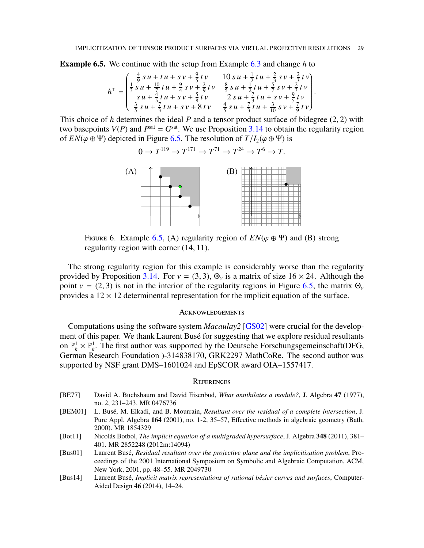<span id="page-28-5"></span>Example 6.5. We continue with the setup from Example [6.3](#page-25-2) and change *h* to

$$
h^{\top} = \begin{pmatrix} \frac{4}{9} s u + tu + s v + \frac{9}{5} t v & 10 s u + \frac{1}{2} t u + \frac{2}{3} s v + \frac{2}{3} t v \\ \frac{1}{3} s u + \frac{10}{7} t u + \frac{9}{4} s v + \frac{2}{9} t v & \frac{8}{5} s u + \frac{1}{2} t u + \frac{5}{7} s v + \frac{2}{3} t v \\ s u + \frac{4}{5} t u + s v + \frac{5}{8} t v & 2 s u + \frac{7}{3} t u + s v + \frac{9}{5} t v \\ \frac{3}{5} s u + \frac{7}{3} t u + s v + 8 t v & \frac{4}{5} s u + \frac{7}{3} t u + \frac{3}{10} s v + \frac{7}{9} t v \end{pmatrix}.
$$

This choice of *h* determines the ideal *P* and a tensor product surface of bidegree (2, 2) with two basepoints  $V(P)$  and  $P<sup>sat</sup> = G<sup>sat</sup>$ . We use Proposition [3.14](#page-11-0) to obtain the regularity region of  $EN(\varphi \oplus \Psi)$  depicted in Figure [6.5.](#page-28-5) The resolution of  $T/I_2(\varphi \oplus \Psi)$  is

$$
0 \to T^{119} \to T^{171} \to T^{71} \to T^{24} \to T^6 \to T.
$$



FIGURE 6. Example [6.5,](#page-28-5) (A) regularity region of  $EN(\varphi \oplus \Psi)$  and (B) strong regularity region with corner (14, 11).

The strong regularity region for this example is considerably worse than the regularity provided by Proposition [3.14.](#page-11-0) For  $v = (3, 3)$ ,  $\Theta_v$  is a matrix of size 16  $\times$  24. Although the point  $v = (2, 3)$  is not in the interior of the regularity regions in Figure [6.5,](#page-28-5) the matrix  $\Theta_v$ provides a  $12 \times 12$  determinental representation for the implicit equation of the surface.

### **ACKNOWLEDGEMENTS**

Computations using the software system *Macaulay2* [\[GS02\]](#page-29-19) were crucial for the development of this paper. We thank Laurent Busé for suggesting that we explore residual resultants on  $\mathbb{P}_k^1 \times \mathbb{P}_k^1$ . The first author was supported by the Deutsche Forschungsgemeinschaft(DFG, German Research Foundation )-314838170, GRK2297 MathCoRe. The second author was supported by NSF grant DMS–1601024 and EpSCOR award OIA–1557417.

### **REFERENCES**

- <span id="page-28-3"></span>[BE77] David A. Buchsbaum and David Eisenbud, *What annihilates a module?*, J. Algebra 47 (1977), no. 2, 231–243. MR 0476736
- <span id="page-28-0"></span>[BEM01] L. Busé, M. Elkadi, and B. Mourrain, *Resultant over the residual of a complete intersection*, J. Pure Appl. Algebra 164 (2001), no. 1-2, 35–57, Effective methods in algebraic geometry (Bath, 2000). MR 1854329
- <span id="page-28-2"></span>[Bot11] Nicolás Botbol, *The implicit equation of a multigraded hypersurface*, J. Algebra 348 (2011), 381-401. MR 2852248 (2012m:14094)
- <span id="page-28-1"></span>[Bus01] Laurent Bus´e, *Residual resultant over the projective plane and the implicitization problem*, Proceedings of the 2001 International Symposium on Symbolic and Algebraic Computation, ACM, New York, 2001, pp. 48–55. MR 2049730
- <span id="page-28-4"></span>[Bus14] Laurent Busé, *Implicit matrix representations of rational bézier curves and surfaces*, Computer-Aided Design 46 (2014), 14–24.